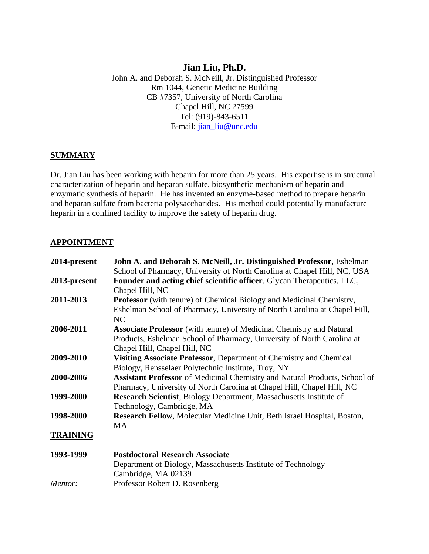# **Jian Liu, Ph.D.**

John A. and Deborah S. McNeill, Jr. Distinguished Professor Rm 1044, Genetic Medicine Building CB #7357, University of North Carolina Chapel Hill, NC 27599 Tel: (919)-843-6511 E-mail: [jian\\_liu@unc.edu](mailto:jian_liu@unc.edu)

### **SUMMARY**

Dr. Jian Liu has been working with heparin for more than 25 years. His expertise is in structural characterization of heparin and heparan sulfate, biosynthetic mechanism of heparin and enzymatic synthesis of heparin. He has invented an enzyme-based method to prepare heparin and heparan sulfate from bacteria polysaccharides. His method could potentially manufacture heparin in a confined facility to improve the safety of heparin drug.

## **APPOINTMENT**

| 2014-present    | John A. and Deborah S. McNeill, Jr. Distinguished Professor, Eshelman       |
|-----------------|-----------------------------------------------------------------------------|
|                 | School of Pharmacy, University of North Carolina at Chapel Hill, NC, USA    |
| 2013-present    | Founder and acting chief scientific officer, Glycan Therapeutics, LLC,      |
|                 | Chapel Hill, NC                                                             |
| 2011-2013       | <b>Professor</b> (with tenure) of Chemical Biology and Medicinal Chemistry, |
|                 | Eshelman School of Pharmacy, University of North Carolina at Chapel Hill,   |
|                 | NC                                                                          |
| 2006-2011       | <b>Associate Professor</b> (with tenure) of Medicinal Chemistry and Natural |
|                 | Products, Eshelman School of Pharmacy, University of North Carolina at      |
|                 | Chapel Hill, Chapel Hill, NC                                                |
| 2009-2010       | Visiting Associate Professor, Department of Chemistry and Chemical          |
|                 | Biology, Rensselaer Polytechnic Institute, Troy, NY                         |
| 2000-2006       | Assistant Professor of Medicinal Chemistry and Natural Products, School of  |
|                 | Pharmacy, University of North Carolina at Chapel Hill, Chapel Hill, NC      |
| 1999-2000       | <b>Research Scientist, Biology Department, Massachusetts Institute of</b>   |
|                 | Technology, Cambridge, MA                                                   |
| 1998-2000       | Research Fellow, Molecular Medicine Unit, Beth Israel Hospital, Boston,     |
|                 | <b>MA</b>                                                                   |
| <b>TRAINING</b> |                                                                             |
| 1993-1999       | <b>Postdoctoral Research Associate</b>                                      |
|                 | Department of Biology, Massachusetts Institute of Technology                |
|                 | Cambridge, MA 02139                                                         |
| Mentor:         | Professor Robert D. Rosenberg                                               |
|                 |                                                                             |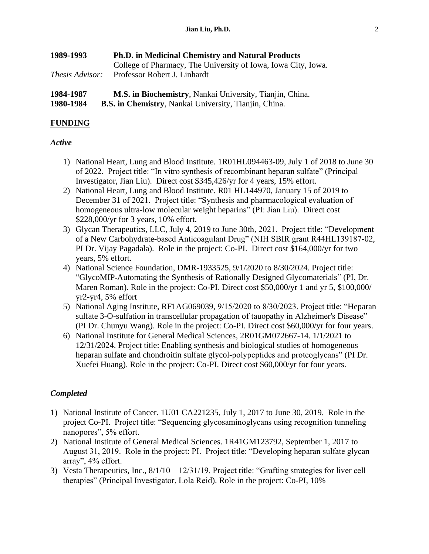| 1989-1993              | <b>Ph.D. in Medicinal Chemistry and Natural Products</b>                                      |
|------------------------|-----------------------------------------------------------------------------------------------|
| <i>Thesis Advisor:</i> | College of Pharmacy, The University of Iowa, Iowa City, Iowa.<br>Professor Robert J. Linhardt |
| 1984-1987              | M.S. in Biochemistry, Nankai University, Tianjin, China.                                      |

**1980-1984 B.S. in Chemistry**, Nankai University, Tianjin, China.

## **FUNDING**

### *Active*

- 1) National Heart, Lung and Blood Institute. 1R01HL094463-09, July 1 of 2018 to June 30 of 2022. Project title: "In vitro synthesis of recombinant heparan sulfate" (Principal Investigator, Jian Liu). Direct cost \$345,426/yr for 4 years, 15% effort.
- 2) National Heart, Lung and Blood Institute. R01 HL144970, January 15 of 2019 to December 31 of 2021. Project title: "Synthesis and pharmacological evaluation of homogeneous ultra-low molecular weight heparins" (PI: Jian Liu). Direct cost \$228,000/yr for 3 years, 10% effort.
- 3) Glycan Therapeutics, LLC, July 4, 2019 to June 30th, 2021. Project title: "Development of a New Carbohydrate-based Anticoagulant Drug" (NIH SBIR grant R44HL139187-02, PI Dr. Vijay Pagadala). Role in the project: Co-PI. Direct cost \$164,000/yr for two years, 5% effort.
- 4) National Science Foundation, DMR-1933525, 9/1/2020 to 8/30/2024. Project title: "GlycoMIP-Automating the Synthesis of Rationally Designed Glycomaterials" (PI, Dr. Maren Roman). Role in the project: Co-PI. Direct cost \$50,000/yr 1 and yr 5, \$100,000/ yr2-yr4, 5% effort
- 5) National Aging Institute, RF1AG069039, 9/15/2020 to 8/30/2023. Project title: "Heparan sulfate 3-O-sulfation in transcellular propagation of tauopathy in Alzheimer's Disease" (PI Dr. Chunyu Wang). Role in the project: Co-PI. Direct cost \$60,000/yr for four years.
- 6) National Institute for General Medical Sciences, 2R01GM072667-14. 1/1/2021 to 12/31/2024. Project title: Enabling synthesis and biological studies of homogeneous heparan sulfate and chondroitin sulfate glycol-polypeptides and proteoglycans" (PI Dr. Xuefei Huang). Role in the project: Co-PI. Direct cost \$60,000/yr for four years.

## *Completed*

- 1) National Institute of Cancer. 1U01 CA221235, July 1, 2017 to June 30, 2019. Role in the project Co-PI. Project title: "Sequencing glycosaminoglycans using recognition tunneling nanopores", 5% effort.
- 2) National Institute of General Medical Sciences. 1R41GM123792, September 1, 2017 to August 31, 2019. Role in the project: PI. Project title: "Developing heparan sulfate glycan array", 4% effort.
- 3) Vesta Therapeutics, Inc., 8/1/10 12/31/19. Project title: "Grafting strategies for liver cell therapies" (Principal Investigator, Lola Reid). Role in the project: Co-PI, 10%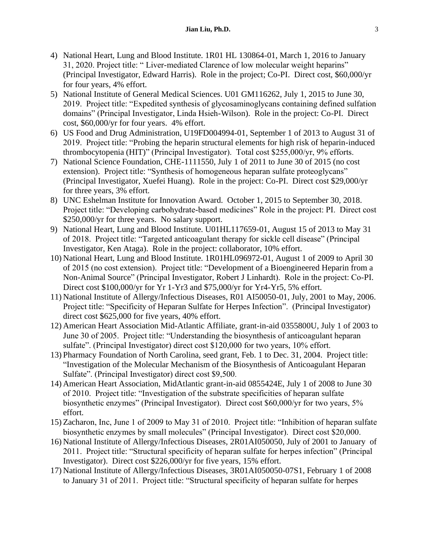- 4) National Heart, Lung and Blood Institute. 1R01 HL 130864-01, March 1, 2016 to January 31, 2020. Project title: " Liver-mediated Clarence of low molecular weight heparins" (Principal Investigator, Edward Harris). Role in the project; Co-PI. Direct cost, \$60,000/yr for four years, 4% effort.
- 5) National Institute of General Medical Sciences. U01 GM116262, July 1, 2015 to June 30, 2019. Project title: "Expedited synthesis of glycosaminoglycans containing defined sulfation domains" (Principal Investigator, Linda Hsieh-Wilson). Role in the project: Co-PI. Direct cost, \$60,000/yr for four years. 4% effort.
- 6) US Food and Drug Administration, U19FD004994-01, September 1 of 2013 to August 31 of 2019. Project title: "Probing the heparin structural elements for high risk of heparin-induced thrombocytopenia (HIT)" (Principal Investigator). Total cost \$255,000/yr, 9% efforts.
- 7) National Science Foundation, CHE-1111550, July 1 of 2011 to June 30 of 2015 (no cost extension). Project title: "Synthesis of homogeneous heparan sulfate proteoglycans" (Principal Investigator, Xuefei Huang). Role in the project: Co-PI. Direct cost \$29,000/yr for three years, 3% effort.
- 8) UNC Eshelman Institute for Innovation Award. October 1, 2015 to September 30, 2018. Project title: "Developing carbohydrate-based medicines" Role in the project: PI. Direct cost \$250,000/yr for three years. No salary support.
- 9) National Heart, Lung and Blood Institute. U01HL117659-01, August 15 of 2013 to May 31 of 2018. Project title: "Targeted anticoagulant therapy for sickle cell disease" (Principal Investigator, Ken Ataga). Role in the project: collaborator, 10% effort.
- 10) National Heart, Lung and Blood Institute. 1R01HL096972-01, August 1 of 2009 to April 30 of 2015 (no cost extension). Project title: "Development of a Bioengineered Heparin from a Non-Animal Source" (Principal Investigator, Robert J Linhardt). Role in the project: Co-PI. Direct cost \$100,000/yr for Yr 1-Yr3 and \$75,000/yr for Yr4-Yr5, 5% effort.
- 11) National Institute of Allergy/Infectious Diseases, R01 AI50050-01, July, 2001 to May, 2006. Project title: "Specificity of Heparan Sulfate for Herpes Infection". (Principal Investigator) direct cost \$625,000 for five years, 40% effort.
- 12) American Heart Association Mid-Atlantic Affiliate, grant-in-aid 0355800U, July 1 of 2003 to June 30 of 2005. Project title: "Understanding the biosynthesis of anticoagulant heparan sulfate". (Principal Investigator) direct cost \$120,000 for two years, 10% effort.
- 13) Pharmacy Foundation of North Carolina, seed grant, Feb. 1 to Dec. 31, 2004. Project title: "Investigation of the Molecular Mechanism of the Biosynthesis of Anticoagulant Heparan Sulfate". (Principal Investigator) direct cost \$9,500.
- 14) American Heart Association, MidAtlantic grant-in-aid 0855424E, July 1 of 2008 to June 30 of 2010. Project title: "Investigation of the substrate specificities of heparan sulfate biosynthetic enzymes" (Principal Investigator). Direct cost \$60,000/yr for two years, 5% effort.
- 15) Zacharon, Inc, June 1 of 2009 to May 31 of 2010. Project title: "Inhibition of heparan sulfate biosynthetic enzymes by small molecules" (Principal Investigator). Direct cost \$20,000.
- 16) National Institute of Allergy/Infectious Diseases, 2R01AI050050, July of 2001 to January of 2011. Project title: "Structural specificity of heparan sulfate for herpes infection" (Principal Investigator). Direct cost \$226,000/yr for five years, 15% effort.
- 17) National Institute of Allergy/Infectious Diseases, 3R01AI050050-07S1, February 1 of 2008 to January 31 of 2011. Project title: "Structural specificity of heparan sulfate for herpes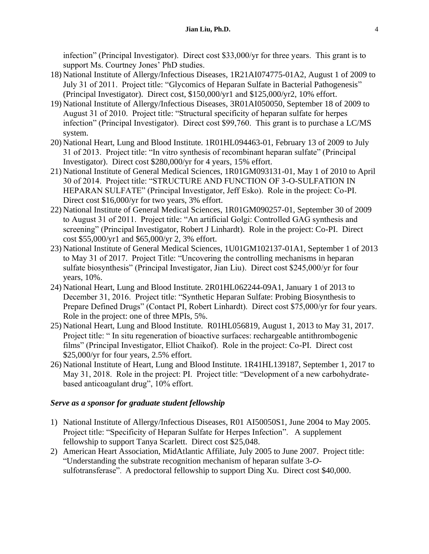infection" (Principal Investigator). Direct cost \$33,000/yr for three years. This grant is to support Ms. Courtney Jones' PhD studies.

- 18) National Institute of Allergy/Infectious Diseases, 1R21AI074775-01A2, August 1 of 2009 to July 31 of 2011. Project title: "Glycomics of Heparan Sulfate in Bacterial Pathogenesis" (Principal Investigator). Direct cost, \$150,000/yr1 and \$125,000/yr2, 10% effort.
- 19) National Institute of Allergy/Infectious Diseases, 3R01AI050050, September 18 of 2009 to August 31 of 2010. Project title: "Structural specificity of heparan sulfate for herpes infection" (Principal Investigator). Direct cost \$99,760. This grant is to purchase a LC/MS system.
- 20) National Heart, Lung and Blood Institute. 1R01HL094463-01, February 13 of 2009 to July 31 of 2013. Project title: "In vitro synthesis of recombinant heparan sulfate" (Principal Investigator). Direct cost \$280,000/yr for 4 years, 15% effort.
- 21) National Institute of General Medical Sciences, 1R01GM093131-01, May 1 of 2010 to April 30 of 2014. Project title: "STRUCTURE AND FUNCTION OF 3-O-SULFATION IN HEPARAN SULFATE" (Principal Investigator, Jeff Esko). Role in the project: Co-PI. Direct cost \$16,000/yr for two years, 3% effort.
- 22) National Institute of General Medical Sciences, 1R01GM090257-01, September 30 of 2009 to August 31 of 2011. Project title: "An artificial Golgi: Controlled GAG synthesis and screening" (Principal Investigator, Robert J Linhardt). Role in the project: Co-PI. Direct cost \$55,000/yr1 and \$65,000/yr 2, 3% effort.
- 23) National Institute of General Medical Sciences, 1U01GM102137-01A1, September 1 of 2013 to May 31 of 2017. Project Title: "Uncovering the controlling mechanisms in heparan sulfate biosynthesis" (Principal Investigator, Jian Liu). Direct cost \$245,000/yr for four years, 10%.
- 24) National Heart, Lung and Blood Institute. 2R01HL062244-09A1, January 1 of 2013 to December 31, 2016. Project title: "Synthetic Heparan Sulfate: Probing Biosynthesis to Prepare Defined Drugs" (Contact PI, Robert Linhardt). Direct cost \$75,000/yr for four years. Role in the project: one of three MPIs, 5%.
- 25) National Heart, Lung and Blood Institute. R01HL056819, August 1, 2013 to May 31, 2017. Project title: " In situ regeneration of bioactive surfaces: rechargeable antithrombogenic films" (Principal Investigator, Elliot Chaikof). Role in the project: Co-PI. Direct cost \$25,000/yr for four years, 2.5% effort.
- 26) National Institute of Heart, Lung and Blood Institute. 1R41HL139187, September 1, 2017 to May 31, 2018. Role in the project: PI. Project title: "Development of a new carbohydratebased anticoagulant drug", 10% effort.

## *Serve as a sponsor for graduate student fellowship*

- 1) National Institute of Allergy/Infectious Diseases, R01 AI50050S1, June 2004 to May 2005. Project title: "Specificity of Heparan Sulfate for Herpes Infection". A supplement fellowship to support Tanya Scarlett. Direct cost \$25,048.
- 2) American Heart Association, MidAtlantic Affiliate, July 2005 to June 2007. Project title: "Understanding the substrate recognition mechanism of heparan sulfate 3-*O*sulfotransferase". A predoctoral fellowship to support Ding Xu. Direct cost \$40,000.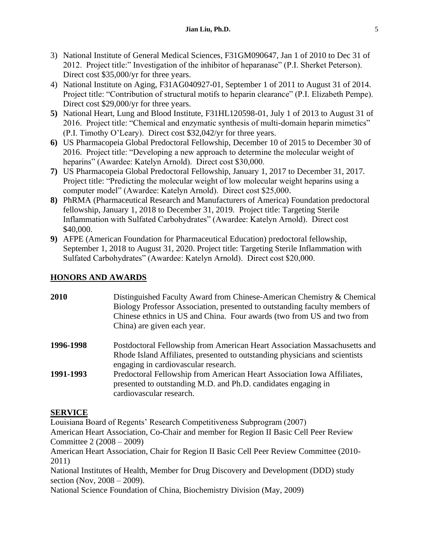- 3) National Institute of General Medical Sciences, F31GM090647, Jan 1 of 2010 to Dec 31 of 2012. Project title:" Investigation of the inhibitor of heparanase" (P.I. Sherket Peterson). Direct cost \$35,000/yr for three years.
- 4) National Institute on Aging, F31AG040927-01, September 1 of 2011 to August 31 of 2014. Project title: "Contribution of structural motifs to heparin clearance" (P.I. Elizabeth Pempe). Direct cost \$29,000/yr for three years.
- **5)** National Heart, Lung and Blood Institute, F31HL120598-01, July 1 of 2013 to August 31 of 2016. Project title: "Chemical and enzymatic synthesis of multi-domain heparin mimetics" (P.I. Timothy O'Leary). Direct cost \$32,042/yr for three years.
- **6)** US Pharmacopeia Global Predoctoral Fellowship, December 10 of 2015 to December 30 of 2016. Project title: "Developing a new approach to determine the molecular weight of heparins" (Awardee: Katelyn Arnold). Direct cost \$30,000.
- **7)** US Pharmacopeia Global Predoctoral Fellowship, January 1, 2017 to December 31, 2017. Project title: "Predicting the molecular weight of low molecular weight heparins using a computer model" (Awardee: Katelyn Arnold). Direct cost \$25,000.
- **8)** PhRMA (Pharmaceutical Research and Manufacturers of America) Foundation predoctoral fellowship, January 1, 2018 to December 31, 2019. Project title: Targeting Sterile Inflammation with Sulfated Carbohydrates" (Awardee: Katelyn Arnold). Direct cost \$40,000.
- **9)** AFPE (American Foundation for Pharmaceutical Education) predoctoral fellowship, September 1, 2018 to August 31, 2020. Project title: Targeting Sterile Inflammation with Sulfated Carbohydrates" (Awardee: Katelyn Arnold). Direct cost \$20,000.

# **HONORS AND AWARDS**

| 2010      | Distinguished Faculty Award from Chinese-American Chemistry & Chemical<br>Biology Professor Association, presented to outstanding faculty members of<br>Chinese ethnics in US and China. Four awards (two from US and two from<br>China) are given each year. |
|-----------|---------------------------------------------------------------------------------------------------------------------------------------------------------------------------------------------------------------------------------------------------------------|
| 1996-1998 | Postdoctoral Fellowship from American Heart Association Massachusetts and                                                                                                                                                                                     |
|           | Rhode Island Affiliates, presented to outstanding physicians and scientists<br>engaging in cardiovascular research.                                                                                                                                           |
| 1991-1993 | Predoctoral Fellowship from American Heart Association Iowa Affiliates,                                                                                                                                                                                       |
|           | presented to outstanding M.D. and Ph.D. candidates engaging in<br>cardiovascular research.                                                                                                                                                                    |

# **SERVICE**

Louisiana Board of Regents' Research Competitiveness Subprogram (2007)

American Heart Association, Co-Chair and member for Region II Basic Cell Peer Review Committee 2 (2008 – 2009)

American Heart Association, Chair for Region II Basic Cell Peer Review Committee (2010- 2011)

National Institutes of Health, Member for Drug Discovery and Development (DDD) study section (Nov, 2008 – 2009).

National Science Foundation of China, Biochemistry Division (May, 2009)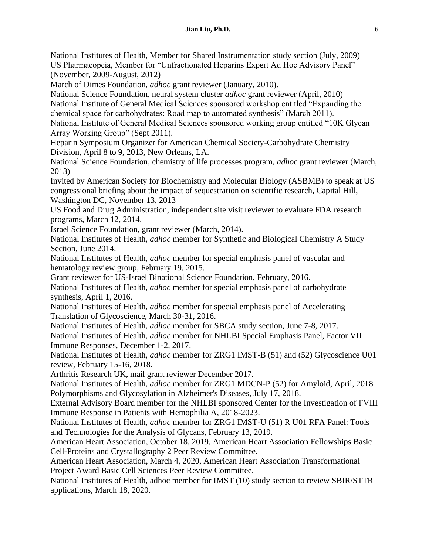National Institutes of Health, Member for Shared Instrumentation study section (July, 2009) US Pharmacopeia, Member for "Unfractionated Heparins Expert Ad Hoc Advisory Panel" (November, 2009-August, 2012)

March of Dimes Foundation, *adhoc* grant reviewer (January, 2010).

National Science Foundation, neural system cluster *adhoc* grant reviewer (April, 2010) National Institute of General Medical Sciences sponsored workshop entitled "Expanding the chemical space for carbohydrates: Road map to automated synthesis" (March 2011).

National Institute of General Medical Sciences sponsored working group entitled "10K Glycan Array Working Group" (Sept 2011).

Heparin Symposium Organizer for American Chemical Society-Carbohydrate Chemistry Division, April 8 to 9, 2013, New Orleans, LA.

National Science Foundation, chemistry of life processes program, *adhoc* grant reviewer (March, 2013)

Invited by American Society for Biochemistry and Molecular Biology (ASBMB) to speak at US congressional briefing about the impact of sequestration on scientific research, Capital Hill, Washington DC, November 13, 2013

US Food and Drug Administration, independent site visit reviewer to evaluate FDA research programs, March 12, 2014.

Israel Science Foundation, grant reviewer (March, 2014).

National Institutes of Health, *adhoc* member for Synthetic and Biological Chemistry A Study Section, June 2014.

National Institutes of Health, *adhoc* member for special emphasis panel of vascular and hematology review group, February 19, 2015.

Grant reviewer for US-Israel Binational Science Foundation, February, 2016.

National Institutes of Health, *adhoc* member for special emphasis panel of carbohydrate synthesis, April 1, 2016.

National Institutes of Health, *adhoc* member for special emphasis panel of Accelerating Translation of Glycoscience, March 30-31, 2016.

National Institutes of Health, *adhoc* member for SBCA study section, June 7-8, 2017.

National Institutes of Health, *adhoc* member for NHLBI Special Emphasis Panel, Factor VII Immune Responses, December 1-2, 2017.

National Institutes of Health, *adhoc* member for ZRG1 IMST-B (51) and (52) Glycoscience U01 review, February 15-16, 2018.

Arthritis Research UK, mail grant reviewer December 2017.

National Institutes of Health, *adhoc* member for ZRG1 MDCN-P (52) for Amyloid, April, 2018 Polymorphisms and Glycosylation in Alzheimer's Diseases, July 17, 2018.

External Advisory Board member for the NHLBI sponsored Center for the Investigation of FVIII Immune Response in Patients with Hemophilia A, 2018-2023.

National Institutes of Health, *adhoc* member for ZRG1 IMST-U (51) R U01 RFA Panel: Tools and Technologies for the Analysis of Glycans, February 13, 2019.

American Heart Association, October 18, 2019, American Heart Association Fellowships Basic Cell-Proteins and Crystallography 2 Peer Review Committee.

American Heart Association, March 4, 2020, American Heart Association Transformational Project Award Basic Cell Sciences Peer Review Committee.

National Institutes of Health, adhoc member for IMST (10) study section to review SBIR/STTR applications, March 18, 2020.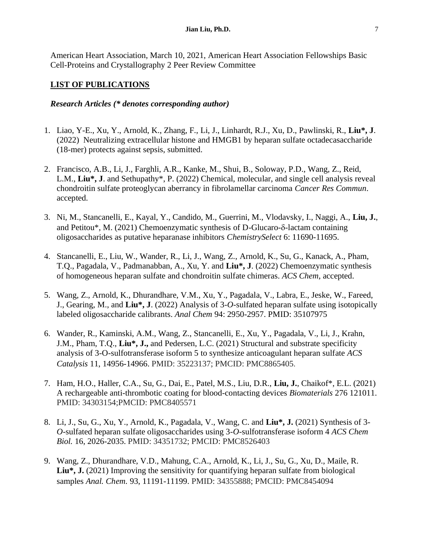American Heart Association, March 10, 2021, American Heart Association Fellowships Basic Cell-Proteins and Crystallography 2 Peer Review Committee

### **LIST OF PUBLICATIONS**

### *Research Articles (\* denotes corresponding author)*

- 1. Liao, Y-E., Xu, Y., Arnold, K., Zhang, F., Li, J., Linhardt, R.J., Xu, D., Pawlinski, R., **Liu\*, J**. (2022) Neutralizing extracellular histone and HMGB1 by heparan sulfate octadecasaccharide (18-mer) protects against sepsis, submitted.
- 2. Francisco, A.B., Li, J., Farghli, A.R., Kanke, M., Shui, B., Soloway, P.D., Wang, Z., Reid, L.M., **Liu\*, J**. and Sethupathy\*, P. (2022) Chemical, molecular, and single cell analysis reveal chondroitin sulfate proteoglycan aberrancy in fibrolamellar carcinoma *Cancer Res Commun*. accepted.
- 3. Ni, M., Stancanelli, E., Kayal, Y., Candido, M., Guerrini, M., Vlodavsky, I., Naggi, A., **Liu, J.**, and Petitou\*, M. (2021) Chemoenzymatic synthesis of D-Glucaro- $\delta$ -lactam containing oligosaccharides as putative heparanase inhibitors *ChemistrySelect* 6: 11690-11695.
- 4. Stancanelli, E., Liu, W., Wander, R., Li, J., Wang, Z., Arnold, K., Su, G., Kanack, A., Pham, T.Q., Pagadala, V., Padmanabban, A., Xu, Y. and **Liu\*, J**. (2022) Chemoenzymatic synthesis of homogeneous heparan sulfate and chondroitin sulfate chimeras. *ACS Chem*, accepted.
- 5. Wang, Z., Arnold, K., Dhurandhare, V.M., Xu, Y., Pagadala, V., Labra, E., Jeske, W., Fareed, J., Gearing, M., and **Liu\*, J**. (2022) Analysis of 3-*O*-sulfated heparan sulfate using isotopically labeled oligosaccharide calibrants. *Anal Chem* 94: 2950-2957. PMID: 35107975
- 6. Wander, R., Kaminski, A.M., Wang, Z., Stancanelli, E., Xu, Y., Pagadala, V., Li, J., Krahn, J.M., Pham, T.Q., **Liu\*, J.,** and Pedersen, L.C. (2021) Structural and substrate specificity analysis of 3-O-sulfotransferase isoform 5 to synthesize anticoagulant heparan sulfate *ACS Catalysis* 11, 14956-14966. PMID: 35223137; PMCID: PMC8865405.
- 7. Ham, H.O., Haller, C.A., Su, G., Dai, E., Patel, M.S., Liu, D.R., **Liu, J.**, Chaikof\*, E.L. (2021) A rechargeable anti-thrombotic coating for blood-contacting devices *Biomaterials* 276 121011. PMID: 34303154;PMCID: PMC8405571
- 8. Li, J., Su, G., Xu, Y., Arnold, K., Pagadala, V., Wang, C. and **Liu\*, J.** (2021) Synthesis of 3- *O*-sulfated heparan sulfate oligosaccharides using 3-*O*-sulfotransferase isoform 4 *ACS Chem Biol.* 16, 2026-2035. PMID: 34351732; PMCID: PMC8526403
- 9. Wang, Z., Dhurandhare, V.D., Mahung, C.A., Arnold, K., Li, J., Su, G., Xu, D., Maile, R. **Liu\*, J.** (2021) Improving the sensitivity for quantifying heparan sulfate from biological samples *Anal. Chem.* 93, 11191-11199. PMID: 34355888; PMCID: PMC8454094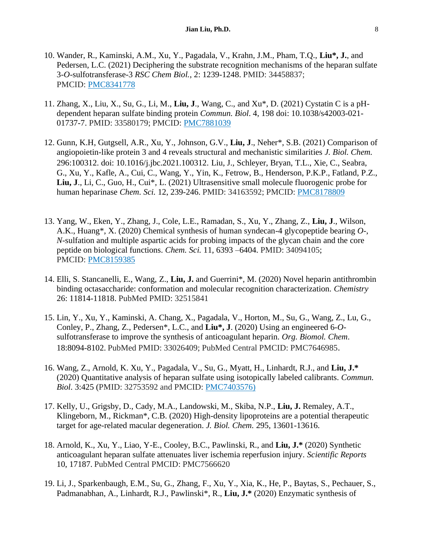- 10. Wander, R., Kaminski, A.M., Xu, Y., Pagadala, V., Krahn, J.M., Pham, T.Q., **Liu\*, J.**, and Pedersen, L.C. (2021) Deciphering the substrate recognition mechanisms of the heparan sulfate 3-*O*-sulfotransferase-3 *RSC Chem Biol.*, 2: 1239-1248. PMID: 34458837; PMCID: [PMC8341778](http://www.ncbi.nlm.nih.gov/pmc/articles/pmc8341778/)
- 11. Zhang, X., Liu, X., Su, G., Li, M., **Liu, J**., Wang, C., and Xu\*, D. (2021) Cystatin C is a pHdependent heparan sulfate binding protein *Commun. Biol*. 4, 198 doi: 10.1038/s42003-021- 01737-7. PMID: 33580179; PMCID: [PMC7881039](http://www.ncbi.nlm.nih.gov/pmc/articles/pmc7881039/)
- 12. Gunn, K.H, Gutgsell, A.R., Xu, Y., Johnson, G.V., **Liu, J**., Neher\*, S.B. (2021) Comparison of angiopoietin-like protein 3 and 4 reveals structural and mechanistic similarities *J. Biol. Chem.* 296:100312. doi: 10.1016/j.jbc.2021.100312. Liu, J., Schleyer, Bryan, T.L., Xie, C., Seabra, G., Xu, Y., Kafle, A., Cui, C., Wang, Y., Yin, K., Fetrow, B., Henderson, P.K.P., Fatland, P.Z., **Liu, J**., Li, C., Guo, H., Cui\*, L. (2021) Ultrasensitive small molecule fluorogenic probe for human heparinase *Chem. Sci.* 12, 239-246. PMID: 34163592; PMCID: [PMC8178809](http://www.ncbi.nlm.nih.gov/pmc/articles/pmc8178809/)
- 13. Yang, W., Eken, Y., Zhang, J., Cole, L.E., Ramadan, S., Xu, Y., Zhang, Z., **Liu, J**., Wilson, A.K., Huang\*, X. (2020) Chemical synthesis of human syndecan-4 glycopeptide bearing *O*-, *N*-sulfation and multiple aspartic acids for probing impacts of the glycan chain and the core peptide on biological functions. *Chem. Sci.* 11, 6393 –6404. PMID: 34094105; PMCID: [PMC8159385](http://www.ncbi.nlm.nih.gov/pmc/articles/pmc8159385/)
- 14. Elli, S. Stancanelli, E., Wang, Z., **Liu, J.** and Guerrini\*, M. (2020) Novel heparin antithrombin binding octasaccharide: conformation and molecular recognition characterization. *Chemistry* 26: 11814-11818. PubMed PMID: 32515841
- 15. Lin, Y., Xu, Y., Kaminski, A. Chang, X., Pagadala, V., Horton, M., Su, G., Wang, Z., Lu, G., Conley, P., Zhang, Z., Pedersen\*, L.C., and **Liu\*, J**. (2020) Using an engineered 6-*O*sulfotransferase to improve the synthesis of anticoagulant heparin. *Org. Biomol. Chem*. 18:8094-8102. PubMed PMID: 33026409; PubMed Central PMCID: PMC7646985.
- 16. Wang, Z., Arnold, K. Xu, Y., Pagadala, V., Su, G., Myatt, H., Linhardt, R.J., and **Liu, J.\*** (2020) Quantitative analysis of heparan sulfate using isotopically labeled calibrants. *Commun. Biol*. 3:425 (PMID: 32753592 and PMCID: [PMC7403576\)](http://www.ncbi.nlm.nih.gov/pmc/articles/pmc7403576/)
- 17. Kelly, U., Grigsby, D., Cady, M.A., Landowski, M., Skiba, N.P., **Liu, J.** Remaley, A.T., Klingeborn, M., Rickman\*, C.B. (2020) High-density lipoproteins are a potential therapeutic target for age-related macular degeneration. *J. Biol. Chem.* 295, 13601-13616.
- 18. Arnold, K., Xu, Y., Liao, Y-E., Cooley, B.C., Pawlinski, R., and **Liu, J.\*** (2020) Synthetic anticoagulant heparan sulfate attenuates liver ischemia reperfusion injury. *Scientific Reports* 10, 17187. PubMed Central PMCID: PMC7566620
- 19. Li, J., Sparkenbaugh, E.M., Su, G., Zhang, F., Xu, Y., Xia, K., He, P., Baytas, S., Pechauer, S., Padmanabhan, A., Linhardt, R.J., Pawlinski\*, R., **Liu, J.\*** (2020) Enzymatic synthesis of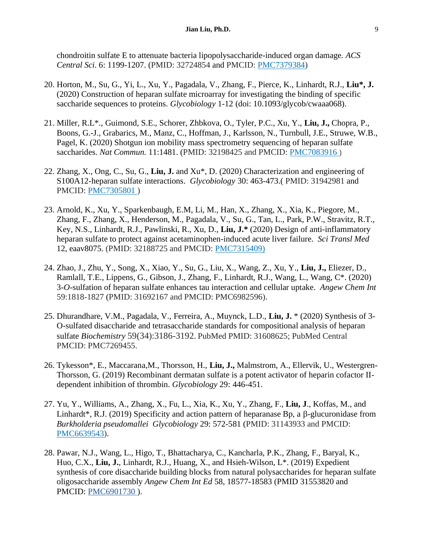chondroitin sulfate E to attenuate bacteria lipopolysaccharide-induced organ damage*. ACS Central Sci*. 6: 1199-1207. (PMID: 32724854 and PMCID: [PMC7379384\)](http://www.ncbi.nlm.nih.gov/pmc/articles/pmc7379384/)

- 20. Horton, M., Su, G., Yi, L., Xu, Y., Pagadala, V., Zhang, F., Pierce, K., Linhardt, R.J., **Liu\*, J.** (2020) Construction of heparan sulfate microarray for investigating the binding of specific saccharide sequences to proteins. *Glycobiology* 1-12 (doi: 10.1093/glycob/cwaaa068).
- 21. Miller, R.L\*., Guimond, S.E., Schorer, Zhbkova, O., Tyler, P.C., Xu, Y., **Liu, J.,** Chopra, P., Boons, G.-J., Grabarics, M., Manz, C., Hoffman, J., Karlsson, N., Turnbull, J.E., Struwe, W.B., Pagel, K. (2020) Shotgun ion mobility mass spectrometry sequencing of heparan sulfate saccharides. *Nat Commun.* 11:1481. (PMID: 32198425 and PMCID: PMC7083916)
- 22. Zhang, X., Ong, C., Su, G., **Liu, J.** and Xu\*, D. (2020) Characterization and engineering of S100A12-heparan sulfate interactions. *Glycobiology* 30: 463-473.( PMID: 31942981 and PMCID: [PMC7305801 \)](http://www.ncbi.nlm.nih.gov/pmc/articles/pmc7305801/)
- 23. Arnold, K., Xu, Y., Sparkenbaugh, E.M, Li, M., Han, X., Zhang, X., Xia, K., Piegore, M., Zhang, F., Zhang, X., Henderson, M., Pagadala, V., Su, G., Tan, L., Park, P.W., Stravitz, R.T., Key, N.S., Linhardt, R.J., Pawlinski, R., Xu, D., **Liu, J.\*** (2020) Design of anti-inflammatory heparan sulfate to protect against acetaminophen-induced acute liver failure. *Sci Transl Med* 12, eaav8075. (PMID: 32188725 and PMCID: [PMC7315409\)](http://www.ncbi.nlm.nih.gov/pmc/articles/pmc7315409/)
- 24. Zhao, J., Zhu, Y., Song, X., Xiao, Y., Su, G., Liu, X., Wang, Z., Xu, Y., **Liu, J.,** Eliezer, D., Ramlall, T.E., Lippens, G., Gibson, J., Zhang, F., Linhardt, R.J., Wang, L., Wang, C\*. (2020) 3-*O*-sulfation of heparan sulfate enhances tau interaction and cellular uptake. *Angew Chem Int*  59:1818-1827 (PMID: 31692167 and PMCID: PMC6982596).
- 25. Dhurandhare, V.M., Pagadala, V., Ferreira, A., Muynck, L.D., **Liu, J.** \* (2020) Synthesis of 3- O-sulfated disaccharide and tetrasaccharide standards for compositional analysis of heparan sulfate *Biochemistry* 59(34):3186-3192. PubMed PMID: 31608625; PubMed Central PMCID: PMC7269455.
- 26. Tykesson\*, E., Maccarana,M., Thorsson, H., **Liu, J.,** Malmstrom, A., Ellervik, U., Westergren-Thorsson, G. (2019) Recombinant dermatan sulfate is a potent activator of heparin cofactor IIdependent inhibition of thrombin. *Glycobiology* 29: 446-451.
- 27. Yu, Y., Williams, A., Zhang, X., Fu, L., Xia, K., Xu, Y., Zhang, F., **Liu, J**., Koffas, M., and Linhardt\*, R.J. (2019) Specificity and action pattern of heparanase Bp, a  $\beta$ -glucuronidase from *Burkholderia pseudomallei Glycobiology* 29: 572-581 (PMID: 31143933 and PMCID: [PMC6639543\)](http://www.ncbi.nlm.nih.gov/pmc/articles/pmc6639543/).
- 28. Pawar, N.J., Wang, L., Higo, T., Bhattacharya, C., Kancharla, P.K., Zhang, F., Baryal, K., Huo, C.X., **Liu, J.**, Linhardt, R.J., Huang, X., and Hsieh-Wilson, L\*. (2019) Expedient synthesis of core disaccharide building blocks from natural polysaccharides for heparan sulfate oligosaccharide assembly *Angew Chem Int Ed* 58, 18577-18583 (PMID 31553820 and PMCID: [PMC6901730](http://www.ncbi.nlm.nih.gov/pmc/articles/pmc6901730/) ).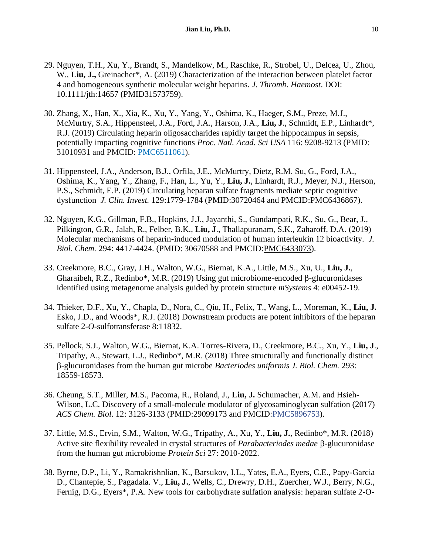- 29. Nguyen, T.H., Xu, Y., Brandt, S., Mandelkow, M., Raschke, R., Strobel, U., Delcea, U., Zhou, W., **Liu, J.,** Greinacher\*, A. (2019) Characterization of the interaction between platelet factor 4 and homogeneous synthetic molecular weight heparins. *J. Thromb. Haemost*. DOI: 10.1111/jth:14657 (PMID31573759).
- 30. Zhang, X., Han, X., Xia, K., Xu, Y., Yang, Y., Oshima, K., Haeger, S.M., Preze, M.J., McMurtry, S.A., Hippensteel, J.A., Ford, J.A., Harson, J.A., **Liu, J**., Schmidt, E.P., Linhardt\*, R.J. (2019) Circulating heparin oligosaccharides rapidly target the hippocampus in sepsis, potentially impacting cognitive functions *Proc. Natl. Acad. Sci USA* 116: 9208-9213 (PMID: 31010931 and PMCID: [PMC6511061\)](http://www.ncbi.nlm.nih.gov/pmc/articles/pmc6511061/).
- 31. Hippensteel, J.A., Anderson, B.J., Orfila, J.E., McMurtry, Dietz, R.M. Su, G., Ford, J.A., Oshima, K., Yang, Y., Zhang, F., Han, L., Yu, Y., **Liu, J.**, Linhardt, R.J., Meyer, N.J., Herson, P.S., Schmidt, E.P. (2019) Circulating heparan sulfate fragments mediate septic cognitive dysfunction *J. Clin. Invest.* 129:1779-1784 (PMID:30720464 and PMCID[:PMC6436867\)](https://www.ncbi.nlm.nih.gov/pmc/articles/PMC6436867/).
- 32. Nguyen, K.G., Gillman, F.B., Hopkins, J.J., Jayanthi, S., Gundampati, R.K., Su, G., Bear, J., Pilkington, G.R., Jalah, R., Felber, B.K., **Liu, J**., Thallapuranam, S.K., Zaharoff, D.A. (2019) Molecular mechanisms of heparin-induced modulation of human interleukin 12 bioactivity. *J. Biol. Chem.* 294: 4417-4424. (PMID: 30670588 and PMCID[:PMC6433073\)](https://www.ncbi.nlm.nih.gov/pmc/articles/PMC6433073/).
- 33. Creekmore, B.C., Gray, J.H., Walton, W.G., Biernat, K.A., Little, M.S., Xu, U., **Liu, J.**, Gharaibeh, R.Z., Redinbo\*, M.R. (2019) Using gut microbiome-encoded  $\beta$ -glucuronidases identified using metagenome analysis guided by protein structure *mSystems* 4: e00452-19.
- 34. Thieker, D.F., Xu, Y., Chapla, D., Nora, C., Qiu, H., Felix, T., Wang, L., Moreman, K., **Liu, J.** Esko, J.D., and Woods\*, R.J. (2018) Downstream products are potent inhibitors of the heparan sulfate 2-*O*-sulfotransferase 8:11832.
- 35. Pellock, S.J., Walton, W.G., Biernat, K.A. Torres-Rivera, D., Creekmore, B.C., Xu, Y., **Liu, J**., Tripathy, A., Stewart, L.J., Redinbo\*, M.R. (2018) Three structurally and functionally distinct -glucuronidases from the human gut microbe *Bacteriodes uniformis J. Biol. Chem.* 293: 18559-18573.
- 36. Cheung, S.T., Miller, M.S., Pacoma, R., Roland, J., **Liu, J.** Schumacher, A.M. and Hsieh-Wilson, L.C. Discovery of a small-molecule modulator of glycosaminoglycan sulfation (2017) *ACS Chem. Biol*. 12: 3126-3133 (PMID:29099173 and PMCID[:PMC5896753\)](https://www.ncbi.nlm.nih.gov/pmc/articles/PMC5896753/).
- 37. Little, M.S., Ervin, S.M., Walton, W.G., Tripathy, A., Xu, Y., **Liu, J.**, Redinbo\*, M.R. (2018) Active site flexibility revealed in crystal structures of *Parabacteriodes medae*  $\beta$ -glucuronidase from the human gut microbiome *Protein Sci* 27: 2010-2022.
- 38. Byrne, D.P., Li, Y., Ramakrishnlian, K., Barsukov, I.L., Yates, E.A., Eyers, C.E., Papy-Garcia D., Chantepie, S., Pagadala. V., **Liu, J.**, Wells, C., Drewry, D.H., Zuercher, W.J., Berry, N.G., Fernig, D.G., Eyers\*, P.A. New tools for carbohydrate sulfation analysis: heparan sulfate 2-O-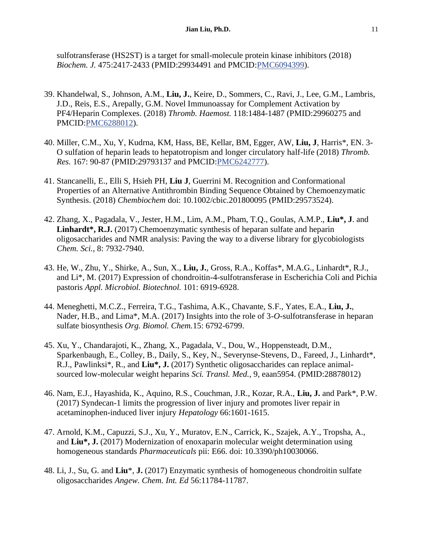sulfotransferase (HS2ST) is a target for small-molecule protein kinase inhibitors (2018) *Biochem. J.* 475:2417-2433 (PMID:29934491 and PMCID[:PMC6094399\)](https://www.ncbi.nlm.nih.gov/pmc/articles/PMC6094399/).

- 39. Khandelwal, S., Johnson, A.M., **Liu, J.**, Keire, D., Sommers, C., Ravi, J., Lee, G.M., Lambris, J.D., Reis, E.S., Arepally, G.M. Novel Immunoassay for Complement Activation by PF4/Heparin Complexes. (2018) *Thromb. Haemost.* 118:1484-1487 (PMID:29960275 and PMCID[:PMC6288012\)](https://www.ncbi.nlm.nih.gov/pmc/articles/PMC6288012/).
- 40. Miller, C.M., Xu, Y, Kudrna, KM, Hass, BE, Kellar, BM, Egger, AW, **Liu, J**, Harris\*, EN. 3- O sulfation of heparin leads to hepatotropism and longer circulatory half-life (2018) *Thromb. Res.* 167: 90-87 (PMID:29793137 and PMCID[:PMC6242777\)](https://www.ncbi.nlm.nih.gov/pmc/articles/PMC6242777/).
- 41. Stancanelli, E., Elli S, Hsieh PH, **Liu J**, Guerrini M. Recognition and Conformational Properties of an Alternative Antithrombin Binding Sequence Obtained by Chemoenzymatic Synthesis. (2018) *Chembiochem* doi: 10.1002/cbic.201800095 (PMID:29573524).
- 42. Zhang, X., Pagadala, V., Jester, H.M., Lim, A.M., Pham, T.Q., Goulas, A.M.P., **Liu\*, J**. and Linhardt\*, R.J. (2017) Chemoenzymatic synthesis of heparan sulfate and heparin oligosaccharides and NMR analysis: Paving the way to a diverse library for glycobiologists *Chem. Sci.*, 8: 7932-7940.
- 43. He, W., Zhu, Y., Shirke, A., Sun, X., **Liu, J.**, Gross, R.A., Koffas\*, M.A.G., Linhardt\*, R.J., and Li\*, M. (2017) Expression of chondroitin-4-sulfotransferase in Escherichia Coli and Pichia pastoris *Appl. Microbiol. Biotechnol.* 101: 6919-6928.
- 44. Meneghetti, M.C.Z., Ferreira, T.G., Tashima, A.K., Chavante, S.F., Yates, E.A., **Liu, J.**, Nader, H.B., and Lima\*, M.A. (2017) Insights into the role of 3-*O*-sulfotransferase in heparan sulfate biosynthesis *Org. Biomol. Chem.*15: 6792-6799.
- 45. Xu, Y., Chandarajoti, K., Zhang, X., Pagadala, V., Dou, W., Hoppensteadt, D.M., Sparkenbaugh, E., Colley, B., Daily, S., Key, N., Severynse-Stevens, D., Fareed, J., Linhardt\*, R.J., Pawlinksi\*, R., and **Liu\*, J.** (2017) Synthetic oligosaccharides can replace animalsourced low-molecular weight heparins *Sci. Transl. Med.*, 9, eaan5954. (PMID:28878012)
- 46. Nam, E.J., Hayashida, K., Aquino, R.S., Couchman, J.R., Kozar, R.A., **Liu, J.** and Park\*, P.W. (2017) Syndecan-1 limits the progression of liver injury and promotes liver repair in acetaminophen-induced liver injury *Hepatology* 66:1601-1615.
- 47. Arnold, K.M., Capuzzi, S.J., Xu, Y., Muratov, E.N., Carrick, K., Szajek, A.Y., Tropsha, A., and **Liu\*, J.** (2017) Modernization of enoxaparin molecular weight determination using homogeneous standards *Pharmaceuticals* pii: E66. doi: 10.3390/ph10030066.
- 48. Li, J., Su, G. and **Liu**\*, **J.** (2017) Enzymatic synthesis of homogeneous chondroitin sulfate oligosaccharides *Angew. Chem. Int. Ed* 56:11784-11787.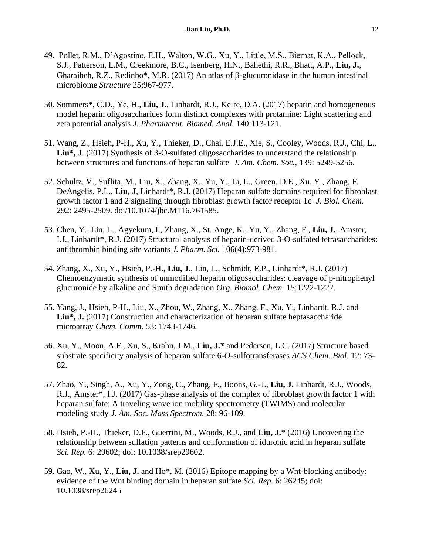- 49. Pollet, R.M., D'Agostino, E.H., Walton, W.G., Xu, Y., Little, M.S., Biernat, K.A., Pellock, S.J., Patterson, L.M., Creekmore, B.C., Isenberg, H.N., Bahethi, R.R., Bhatt, A.P., **Liu, J.**, Gharaibeh, R.Z., Redinbo\*, M.R. (2017) An atlas of  $\beta$ -glucuronidase in the human intestinal microbiome *Structure* 25:967-977.
- 50. Sommers\*, C.D., Ye, H., **Liu, J.**, Linhardt, R.J., Keire, D.A. (2017) heparin and homogeneous model heparin oligosaccharides form distinct complexes with protamine: Light scattering and zeta potential analysis *J. Pharmaceut. Biomed. Anal.* 140:113-121.
- 51. Wang, Z., Hsieh, P-H., Xu, Y., Thieker, D., Chai, E.J.E., Xie, S., Cooley, Woods, R.J., Chi, L., **Liu\*, J**. (2017) Synthesis of 3-O-sulfated oligosaccharides to understand the relationship between structures and functions of heparan sulfate *J. Am. Chem. Soc.*, 139: 5249-5256.
- 52. Schultz, V., Suflita, M., Liu, X., Zhang, X., Yu, Y., Li, L., Green, D.E., Xu, Y., Zhang, F. DeAngelis, P.L., **Liu, J**, Linhardt\*, R.J. (2017) Heparan sulfate domains required for fibroblast growth factor 1 and 2 signaling through fibroblast growth factor receptor 1c *J. Biol. Chem.* 292: 2495-2509. doi/10.1074/jbc.M116.761585.
- 53. Chen, Y., Lin, L., Agyekum, I., Zhang, X., St. Ange, K., Yu, Y., Zhang, F., **Liu, J.**, Amster, I.J., Linhardt\*, R.J. (2017) Structural analysis of heparin-derived 3-O-sulfated tetrasaccharides: antithrombin binding site variants *J. Pharm. Sci.* 106(4):973-981.
- 54. Zhang, X., Xu, Y., Hsieh, P.-H., **Liu, J.**, Lin, L., Schmidt, E.P., Linhardt\*, R.J. (2017) Chemoenzymatic synthesis of unmodified heparin oligosaccharides: cleavage of p-nitrophenyl glucuronide by alkaline and Smith degradation *Org. Biomol. Chem.* 15:1222-1227.
- 55. Yang, J., Hsieh, P-H., Liu, X., Zhou, W., Zhang, X., Zhang, F., Xu, Y., Linhardt, R.J. and Liu<sup>\*</sup>, J. (2017) Construction and characterization of heparan sulfate heptasaccharide microarray *Chem. Comm.* 53: 1743-1746.
- 56. Xu, Y., Moon, A.F., Xu, S., Krahn, J.M., **Liu, J.\*** and Pedersen, L.C. (2017) Structure based substrate specificity analysis of heparan sulfate 6-*O*-sulfotransferases *ACS Chem. Biol*. 12: 73- 82.
- 57. Zhao, Y., Singh, A., Xu, Y., Zong, C., Zhang, F., Boons, G.-J., **Liu, J.** Linhardt, R.J., Woods, R.J., Amster\*, I.J. (2017) Gas-phase analysis of the complex of fibroblast growth factor 1 with heparan sulfate: A traveling wave ion mobility spectrometry (TWIMS) and molecular modeling study *J. Am. Soc. Mass Spectrom.* 28: 96-109.
- 58. Hsieh, P.-H., Thieker, D.F., Guerrini, M., Woods, R.J., and **Liu, J.**\* (2016) Uncovering the relationship between sulfation patterns and conformation of iduronic acid in heparan sulfate *Sci. Rep.* 6: 29602; doi: 10.1038/srep29602.
- 59. Gao, W., Xu, Y., **Liu, J.** and Ho\*, M. (2016) Epitope mapping by a Wnt-blocking antibody: evidence of the Wnt binding domain in heparan sulfate *Sci. Rep.* 6: 26245; doi: 10.1038/srep26245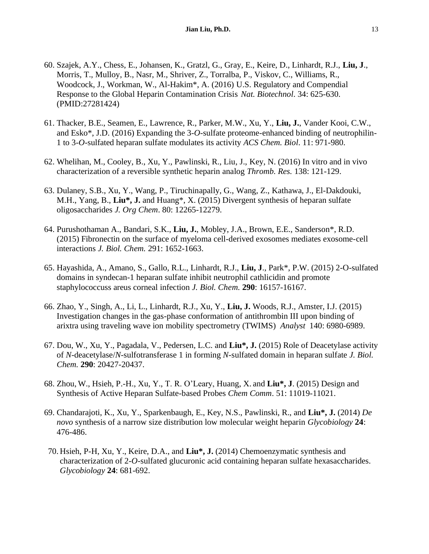- 60. Szajek, A.Y., Chess, E., Johansen, K., Gratzl, G., Gray, E., Keire, D., Linhardt, R.J., **Liu, J**., Morris, T., Mulloy, B., Nasr, M., Shriver, Z., Torralba, P., Viskov, C., Williams, R., Woodcock, J., Workman, W., Al-Hakim\*, A. (2016) U.S. Regulatory and Compendial Response to the Global Heparin Contamination Crisis *Nat. Biotechnol*. 34: 625-630. (PMID:27281424)
- 61. Thacker, B.E., Seamen, E., Lawrence, R., Parker, M.W., Xu, Y., **Liu, J.**, Vander Kooi, C.W., and Esko\*, J.D. (2016) Expanding the 3-*O*-sulfate proteome-enhanced binding of neutrophilin-1 to 3-*O*-sulfated heparan sulfate modulates its activity *ACS Chem. Biol*. 11: 971-980.
- 62. Whelihan, M., Cooley, B., Xu, Y., Pawlinski, R., Liu, J., Key, N. (2016) In vitro and in vivo characterization of a reversible synthetic heparin analog *Thromb. Res.* 138: 121-129.
- 63. Dulaney, S.B., Xu, Y., Wang, P., Tiruchinapally, G., Wang, Z., Kathawa, J., El-Dakdouki, M.H., Yang, B., **Liu\*, J.** and Huang\*, X. (2015) Divergent synthesis of heparan sulfate oligosaccharides *J. Org Chem*. 80: 12265-12279.
- 64. Purushothaman A., Bandari, S.K., **Liu, J.**, Mobley, J.A., Brown, E.E., Sanderson\*, R.D. (2015) Fibronectin on the surface of myeloma cell-derived exosomes mediates exosome-cell interactions *J. Biol. Chem.* 291: 1652-1663.
- 65. Hayashida, A., Amano, S., Gallo, R.L., Linhardt, R.J., **Liu, J**., Park\*, P.W. (2015) 2-O-sulfated domains in syndecan-1 heparan sulfate inhibit neutrophil cathlicidin and promote staphylococcuss areus corneal infection *J. Biol. Chem.* **290**: 16157-16167.
- 66. Zhao, Y., Singh, A., Li, L., Linhardt, R.J., Xu, Y., **Liu, J.** Woods, R.J., Amster, I.J. (2015) Investigation changes in the gas-phase conformation of antithrombin III upon binding of arixtra using traveling wave ion mobility spectrometry (TWIMS) *Analyst* 140: 6980-6989.
- 67. Dou, W., Xu, Y., Pagadala, V., Pedersen, L.C. and **Liu\*, J.** (2015) Role of Deacetylase activity of *N*-deacetylase/*N*-sulfotransferase 1 in forming *N*-sulfated domain in heparan sulfate *J. Biol. Chem.* **290**: 20427-20437.
- 68. Zhou, W., Hsieh, P.-H., Xu, Y., T. R. O'Leary, Huang, X. and **Liu\*, J**. (2015) Design and Synthesis of Active Heparan Sulfate-based Probes *Chem Comm*. 51: 11019-11021.
- 69. Chandarajoti, K., Xu, Y., Sparkenbaugh, E., Key, N.S., Pawlinski, R., and **Liu\*, J.** (2014) *De novo* synthesis of a narrow size distribution low molecular weight heparin *Glycobiology* **24**: 476-486.
- 70. Hsieh, P-H, Xu, Y., Keire, D.A., and **Liu\*, J.** (2014) Chemoenzymatic synthesis and characterization of 2-*O*-sulfated glucuronic acid containing heparan sulfate hexasaccharides. *Glycobiology* **24**: 681-692.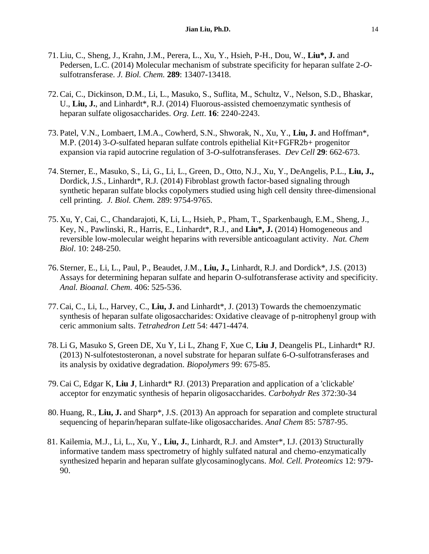- 71. Liu, C., Sheng, J., Krahn, J.M., Perera, L., Xu, Y., Hsieh, P-H., Dou, W., **Liu\*, J.** and Pedersen, L.C. (2014) Molecular mechanism of substrate specificity for heparan sulfate 2-*O*sulfotransferase. *J. Biol. Chem.* **289**: 13407-13418.
- 72.Cai, C., Dickinson, D.M., Li, L., Masuko, S., Suflita, M., Schultz, V., Nelson, S.D., Bhaskar, U., **Liu, J.**, and Linhardt\*, R.J. (2014) Fluorous-assisted chemoenzymatic synthesis of heparan sulfate oligosaccharides. *Org. Lett*. **16**: 2240-2243.
- 73. Patel, V.N., Lombaert, I.M.A., Cowherd, S.N., Shworak, N., Xu, Y., **Liu, J.** and Hoffman\*, M.P. (2014) 3-*O*-sulfated heparan sulfate controls epithelial Kit+FGFR2b+ progenitor expansion via rapid autocrine regulation of 3-*O*-sulfotransferases. *Dev Cell* **29**: 662-673.
- 74. Sterner, E., Masuko, S., Li, G., Li, L., Green, D., Otto, N.J., Xu, Y., DeAngelis, P.L., **Liu, J.,** Dordick, J.S., Linhardt\*, R.J. (2014) Fibroblast growth factor-based signaling through synthetic heparan sulfate blocks copolymers studied using high cell density three-dimensional cell printing. *J. Biol. Chem.* 289: 9754-9765.
- 75. Xu, Y, Cai, C., Chandarajoti, K, Li, L., Hsieh, P., Pham, T., Sparkenbaugh, E.M., Sheng, J., Key, N., Pawlinski, R., Harris, E., Linhardt\*, R.J., and **Liu\*, J.** (2014) Homogeneous and reversible low-molecular weight heparins with reversible anticoagulant activity. *Nat. Chem Biol*. 10: 248-250.
- 76. Sterner, E., Li, L., Paul, P., Beaudet, J.M., **Liu, J.,** Linhardt, R.J. and Dordick\*, J.S. (2013) Assays for determining heparan sulfate and heparin O-sulfotransferase activity and specificity. *Anal. Bioanal. Chem.* 406: 525-536.
- 77.Cai, C., Li, L., Harvey, C., **Liu, J.** and Linhardt\*, J. (2013) Towards the chemoenzymatic synthesis of heparan sulfate oligosaccharides: Oxidative cleavage of p-nitrophenyl group with ceric ammonium salts. *Tetrahedron Lett* 54: 4471-4474.
- 78. Li G, Masuko S, Green DE, Xu Y, Li L, Zhang F, Xue C, **Liu J**, Deangelis PL, Linhardt\* RJ. (2013) N-sulfotestosteronan, a novel substrate for heparan sulfate 6-O-sulfotransferases and its analysis by oxidative degradation. *Biopolymers* 99: 675-85.
- 79.Cai C, Edgar K, **Liu J**, Linhardt\* RJ. (2013) [Preparation and application of a 'clickable'](http://www.ncbi.nlm.nih.gov/pubmed/23524108)  [acceptor for enzymatic synthesis of heparin oligosaccharides.](http://www.ncbi.nlm.nih.gov/pubmed/23524108) *Carbohydr Res* 372:30-34
- 80. Huang, R., **Liu, J.** and Sharp\*, J.S. (2013) An approach for separation and complete structural sequencing of heparin/heparan sulfate-like oligosaccharides. *Anal Chem* 85: 5787-95.
- 81. Kailemia, M.J., Li, L., Xu, Y., **Liu, J.**, Linhardt, R.J. and Amster\*, I.J. (2013) Structurally informative tandem mass spectrometry of highly sulfated natural and chemo-enzymatically synthesized heparin and heparan sulfate glycosaminoglycans. *Mol. Cell. Proteomics* 12: 979- 90.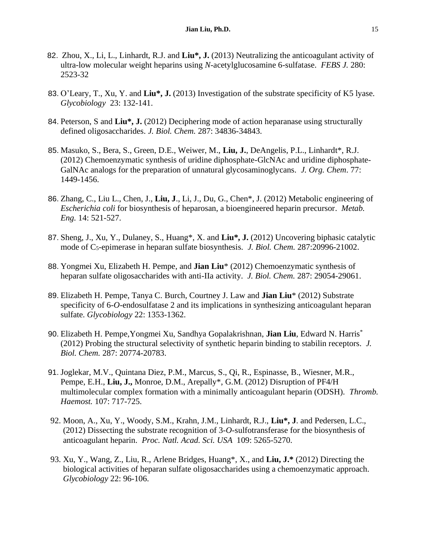- 82. Zhou, X., Li, L., Linhardt, R.J. and **Liu\*, J.** (2013) Neutralizing the anticoagulant activity of ultra-low molecular weight heparins using *N*-acetylglucosamine 6-sulfatase. *FEBS J.* 280: 2523-32
- 83. O'Leary, T., Xu, Y. and **Liu\*, J.** (2013) Investigation of the substrate specificity of K5 lyase. *Glycobiology* 23: 132-141.
- 84. Peterson, S and **Liu\*, J.** (2012) Deciphering mode of action heparanase using structurally defined oligosaccharides. *J. Biol. Chem.* 287: 34836-34843.
- 85. Masuko, S., Bera, S., Green, D.E., Weiwer, M., **Liu, J.**, DeAngelis, P.L., Linhardt\*, R.J. (2012) Chemoenzymatic synthesis of uridine diphosphate-GlcNAc and uridine diphosphate-GalNAc analogs for the preparation of unnatural glycosaminoglycans. *J. Org. Chem*. 77: 1449-1456.
- 86. Zhang, C., Liu L., Chen, J., **Liu, J**., Li, J., Du, G., Chen\*, J. (2012) Metabolic engineering of *Escherichia coli* for biosynthesis of heparosan, a bioengineered heparin precursor. *Metab. Eng.* 14: 521-527.
- 87. Sheng, J., Xu, Y., Dulaney, S., Huang\*, X. and **Liu\*, J.** (2012) Uncovering biphasic catalytic mode of C5-epimerase in heparan sulfate biosynthesis*. J. Biol. Chem.* 287:20996-21002.
- 88. Yongmei Xu, Elizabeth H. Pempe, and **Jian Liu**\* (2012) Chemoenzymatic synthesis of heparan sulfate oligosaccharides with anti-IIa activity. *J. Biol. Chem.* 287: 29054-29061.
- 89. Elizabeth H. Pempe, Tanya C. Burch, Courtney J. Law and **Jian Liu**\* (2012) Substrate specificity of 6-*O*-endosulfatase 2 and its implications in synthesizing anticoagulant heparan sulfate. *Glycobiology* 22: 1353-1362.
- 90. Elizabeth H. Pempe,Yongmei Xu, Sandhya Gopalakrishnan, **Jian Liu**, Edward N. Harris\* (2012) Probing the structural selectivity of synthetic heparin binding to stabilin receptors. *J. Biol. Chem.* 287: 20774-20783.
- 91. Joglekar, M.V., Quintana Diez, P.M., Marcus, S., Qi, R., Espinasse, B., Wiesner, M.R., Pempe, E.H., **Liu, J.,** Monroe, D.M., Arepally\*, G.M. (2012) Disruption of PF4/H multimolecular complex formation with a minimally anticoagulant heparin (ODSH). *Thromb. Haemost.* 107: 717-725.
- 92. Moon, A., Xu, Y., Woody, S.M., Krahn, J.M., Linhardt, R.J., **Liu\*, J**. and Pedersen, L.C., (2012) Dissecting the substrate recognition of 3-*O*-sulfotransferase for the biosynthesis of anticoagulant heparin. *Proc. Natl. Acad. Sci. USA* 109: 5265-5270.
- 93. Xu, Y., Wang, Z., Liu, R., Arlene Bridges, Huang\*, X., and **Liu, J.\*** (2012) Directing the biological activities of heparan sulfate oligosaccharides using a chemoenzymatic approach. *Glycobiology* 22: 96-106.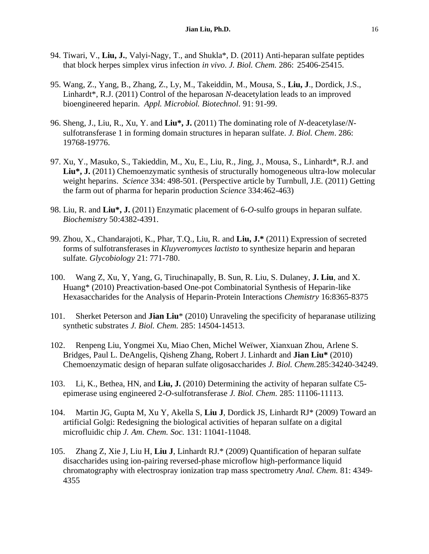- 94. Tiwari, V., **Liu, J.**, Valyi-Nagy, T., and Shukla\*, D. (2011) Anti-heparan sulfate peptides that block herpes simplex virus infection *in vivo*. *J. Biol. Chem.* 286: 25406-25415.
- 95. Wang, Z., Yang, B., Zhang, Z., Ly, M., Takeiddin, M., Mousa, S., **Liu, J**., Dordick, J.S., Linhardt\*, R.J. (2011) Control of the heparosan *N*-deacetylation leads to an improved bioengineered heparin. *Appl. Microbiol. Biotechnol*. 91: 91-99.
- 96. Sheng, J., Liu, R., Xu, Y. and **Liu\*, J.** (2011) The dominating role of *N*-deacetylase/*N*sulfotransferase 1 in forming domain structures in heparan sulfate. *J. Biol. Chem*. 286: 19768-19776.
- 97. Xu, Y., Masuko, S., Takieddin, M., Xu, E., Liu, R., Jing, J., Mousa, S., Linhardt\*, R.J. and **Liu\*, J.** (2011) Chemoenzymatic synthesis of structurally homogeneous ultra-low molecular weight heparins. *Science* 334: 498-501. (Perspective article by Turnbull, J.E. (2011) Getting the farm out of pharma for heparin production *Science* 334:462-463)
- 98. Liu, R. and **Liu\*, J.** (2011) Enzymatic placement of 6-*O*-sulfo groups in heparan sulfate. *Biochemistry* 50:4382-4391.
- 99. Zhou, X., Chandarajoti, K., Phar, T.Q., Liu, R. and **Liu, J.\*** (2011) Expression of secreted forms of sulfotransferases in *Kluyveromyces lactisto* to synthesize heparin and heparan sulfate*. Glycobiology* 21: 771-780.
- 100. Wang Z, Xu, Y, Yang, G, Tiruchinapally, B. Sun, R. Liu, S. Dulaney, **J. Liu**, and X. Huang\* (2010) Preactivation-based One-pot Combinatorial Synthesis of Heparin-like Hexasaccharides for the Analysis of Heparin-Protein Interactions *Chemistry* 16:8365-8375
- 101. Sherket Peterson and **Jian Liu**\* (2010) Unraveling the specificity of heparanase utilizing synthetic substrates *J. Biol. Chem.* 285: 14504-14513.
- 102. Renpeng Liu, Yongmei Xu, Miao Chen, Michel Weïwer, Xianxuan Zhou, Arlene S. Bridges, Paul L. DeAngelis, Qisheng Zhang, Robert J. Linhardt and **Jian Liu\*** (2010) Chemoenzymatic design of heparan sulfate oligosaccharides *J. Biol. Chem.*285:34240-34249.
- 103. Li, K., Bethea, HN, and **Liu, J.** (2010) Determining the activity of heparan sulfate C5 epimerase using engineered 2-*O*-sulfotransferase *J. Biol. Chem.* 285: 11106-11113.
- 104. Martin JG, Gupta M, Xu Y, Akella S, **Liu J**, Dordick JS, Linhardt RJ\* (2009) Toward an artificial Golgi: Redesigning the biological activities of heparan sulfate on a digital microfluidic chip *J. Am. Chem. Soc.* 131: 11041-11048.
- 105. Zhang Z, Xie J, Liu H, **Liu J**, Linhardt RJ.\* (2009) Quantification of heparan sulfate disaccharides using ion-pairing reversed-phase microflow high-performance liquid chromatography with electrospray ionization trap mass spectrometry *Anal. Chem.* 81: 4349- 4355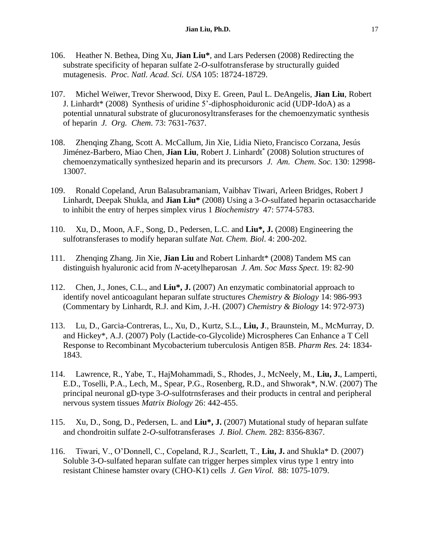- 106. Heather N. Bethea, Ding Xu, **Jian Liu\***, and Lars Pedersen (2008) Redirecting the substrate specificity of heparan sulfate 2-*O*-sulfotransferase by structurally guided mutagenesis. *Proc. Natl. Acad. Sci. USA* 105: 18724-18729.
- 107. Michel Weïwer, Trevor Sherwood, Dixy E. Green, Paul L. DeAngelis, **Jian Liu**, Robert J. Linhardt\* (2008) Synthesis of uridine 5'-diphosphoiduronic acid (UDP-IdoA) as a potential unnatural substrate of glucuronosyltransferases for the chemoenzymatic synthesis of heparin *J. Org. Chem.* 73: 7631-7637.
- 108. Zhenqing Zhang, Scott A. McCallum, Jin Xie, Lidia Nieto, Francisco Corzana, Jesús Jiménez-Barbero, Miao Chen, **Jian Liu**, Robert J. Linhardt<sup>\*</sup> (2008) Solution structures of chemoenzymatically synthesized heparin and its precursors *J. Am. Chem. Soc.* 130: 12998- 13007.
- 109. Ronald Copeland, Arun Balasubramaniam, Vaibhav Tiwari, Arleen Bridges, Robert J Linhardt, Deepak Shukla, and **Jian Liu\*** (2008) Using a 3-*O*-sulfated heparin octasaccharide to inhibit the entry of herpes simplex virus 1 *Biochemistry* 47: 5774-5783.
- 110. Xu, D., Moon, A.F., Song, D., Pedersen, L.C. and **Liu\*, J.** (2008) Engineering the sulfotransferases to modify heparan sulfate *Nat. Chem. Biol*. 4: 200-202.
- 111. Zhenqing Zhang. Jin Xie, **Jian Liu** and Robert Linhardt\* (2008) Tandem MS can distinguish hyaluronic acid from *N*-acetylheparosan *J. Am. Soc Mass Spect*. 19: 82-90
- 112. Chen, J., Jones, C.L., and **Liu\*, J.** (2007) An enzymatic combinatorial approach to identify novel anticoagulant heparan sulfate structures *Chemistry & Biology* 14: 986-993 (Commentary by Linhardt, R.J. and Kim, J.-H. (2007) *Chemistry & Biology* 14: 972-973)
- 113. Lu, D., Garcia-Contreras, L., Xu, D., Kurtz, S.L., **Liu, J**., Braunstein, M., McMurray, D. and Hickey\*, A.J. (2007) Poly (Lactide-co-Glycolide) Microspheres Can Enhance a T Cell Response to Recombinant Mycobacterium tuberculosis Antigen 85B. *Pharm Res.* 24: 1834- 1843.
- 114. Lawrence, R., Yabe, T., HajMohammadi, S., Rhodes, J., McNeely, M., **Liu, J.**, Lamperti, E.D., Toselli, P.A., Lech, M., Spear, P.G., Rosenberg, R.D., and Shworak\*, N.W. (2007) The principal neuronal gD-type 3-*O*-sulfotrnsferases and their products in central and peripheral nervous system tissues *Matrix Biology* 26: 442-455.
- 115. Xu, D., Song, D., Pedersen, L. and **Liu\*, J.** (2007) Mutational study of heparan sulfate and chondroitin sulfate 2-*O*-sulfotransferases *J. Biol. Chem.* 282: 8356-8367.
- 116. Tiwari, V., O'Donnell, C., Copeland, R.J., Scarlett, T., **Liu, J.** and Shukla\* D. (2007) Soluble 3-O-sulfated heparan sulfate can trigger herpes simplex virus type 1 entry into resistant Chinese hamster ovary (CHO-K1) cells *J. Gen Virol.* 88: 1075-1079.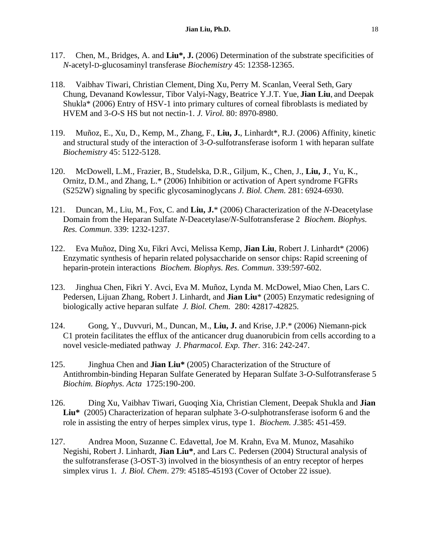- 117. Chen, M., Bridges, A. and **Liu\*, J.** (2006) Determination of the substrate specificities of *N*-acetyl-D-glucosaminyl transferase *Biochemistry* 45: 12358-12365.
- 118. Vaibhav Tiwari, Christian Clement, Ding Xu, Perry M. Scanlan, Veeral Seth, Gary Chung, Devanand Kowlessur, Tibor Valyi-Nagy, Beatrice Y.J.T. Yue, **Jian Liu**, and Deepak Shukla\* (2006) Entry of HSV-1 into primary cultures of corneal fibroblasts is mediated by HVEM and 3-*O-*S HS but not nectin-1. *J. Virol.* 80: 8970-8980.
- 119. Muñoz, E., Xu, D., Kemp, M., Zhang, F., **Liu, J.**, Linhardt\*, R.J. (2006) Affinity, kinetic and structural study of the interaction of 3-*O*-sulfotransferase isoform 1 with heparan sulfate *Biochemistry* 45: 5122-5128.
- 120. McDowell, L.M., Frazier, B., Studelska, D.R., Giljum, K., Chen, J., **Liu, J**., Yu, K., Ornitz, D.M., and Zhang, L.\* (2006) Inhibition or activation of Apert syndrome FGFRs (S252W) signaling by specific glycosaminoglycans *J. Biol. Chem.* 281: 6924-6930.
- 121. Duncan, M., Liu, M., Fox, C. and **Liu, J.**\* (2006) Characterization of the *N*-Deacetylase Domain from the Heparan Sulfate *N*-Deacetylase/*N*-Sulfotransferase 2 *Biochem. Biophys. Res. Commun*. 339: 1232-1237.
- 122. Eva Muñoz, Ding Xu, Fikri Avci, Melissa Kemp, **Jian Liu**, Robert J. Linhardt\* (2006) Enzymatic synthesis of heparin related polysaccharide on sensor chips: Rapid screening of heparin-protein interactions *Biochem. Biophys. Res. Commun*. 339:597-602.
- 123. Jinghua Chen, Fikri Y. Avci, Eva M. Muñoz, Lynda M. McDowel, Miao Chen, Lars C. Pedersen, Lijuan Zhang, Robert J. Linhardt, and **Jian Liu**\* (2005) Enzymatic redesigning of biologically active heparan sulfate *J. Biol. Chem.* 280: 42817-42825.
- 124. Gong, Y., Duvvuri, M., Duncan, M., **Liu, J.** and Krise, J.P.\* (2006) Niemann-pick C1 protein facilitates the efflux of the anticancer drug duanorubicin from cells according to a novel vesicle-mediated pathway *J. Pharmacol. Exp. Ther.* 316: 242-247.
- 125. Jinghua Chen and **Jian Liu\*** (2005) Characterization of the Structure of Antithrombin-binding Heparan Sulfate Generated by Heparan Sulfate 3-*O*-Sulfotransferase 5 *Biochim. Biophys. Acta* 1725:190-200.
- 126. Ding Xu, Vaibhav Tiwari, Guoqing Xia, Christian Clement, Deepak Shukla and **Jian Liu\*** (2005) Characterization of heparan sulphate 3-*O*-sulphotransferase isoform 6 and the role in assisting the entry of herpes simplex virus, type 1. *Biochem. J*.385: 451-459.
- 127. Andrea Moon, Suzanne C. Edavettal, Joe M. Krahn, Eva M. Munoz, Masahiko Negishi, Robert J. Linhardt, **Jian Liu\***, and Lars C. Pedersen (2004) Structural analysis of the sulfotransferase (3-OST-3) involved in the biosynthesis of an entry receptor of herpes simplex virus 1*. J. Biol. Chem*. 279: 45185-45193 (Cover of October 22 issue).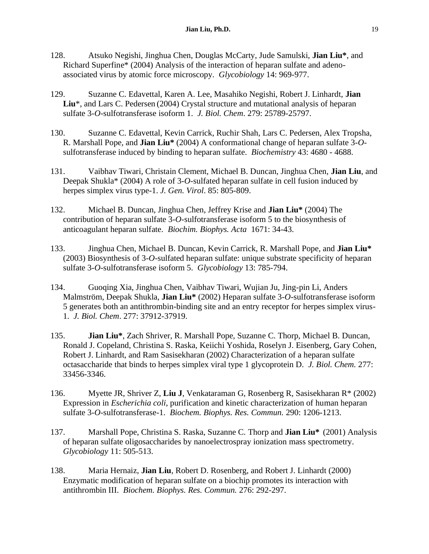- 128. Atsuko Negishi, Jinghua Chen, Douglas McCarty, Jude Samulski, **Jian Liu\***, and Richard Superfine\* (2004) Analysis of the interaction of heparan sulfate and adenoassociated virus by atomic force microscopy. *Glycobiology* 14: 969-977.
- 129. Suzanne C. Edavettal, Karen A. Lee, Masahiko Negishi, Robert J. Linhardt, **Jian Liu**\*, and Lars C. Pedersen (2004) Crystal structure and mutational analysis of heparan sulfate 3-*O*-sulfotransferase isoform 1. *J. Biol. Chem*. 279: 25789-25797.
- 130. Suzanne C. Edavettal, Kevin Carrick, Ruchir Shah, Lars C. Pedersen, Alex Tropsha, R. Marshall Pope, and **Jian Liu\*** (2004) A conformational change of heparan sulfate 3-*O*sulfotransferase induced by binding to heparan sulfate. *Biochemistry* 43: 4680 - 4688.
- 131. Vaibhav Tiwari, Christain Clement, Michael B. Duncan, Jinghua Chen, **Jian Liu**, and Deepak Shukla\* (2004) A role of 3-*O*-sulfated heparan sulfate in cell fusion induced by herpes simplex virus type-1. *J. Gen. Virol*. 85: 805-809.
- 132. Michael B. Duncan, Jinghua Chen, Jeffrey Krise and **Jian Liu\*** (2004) The contribution of heparan sulfate 3-*O*-sulfotransferase isoform 5 to the biosynthesis of anticoagulant heparan sulfate. *Biochim. Biophys. Acta* 1671: 34-43.
- 133. Jinghua Chen, Michael B. Duncan, Kevin Carrick, R. Marshall Pope, and **Jian Liu\*** (2003) Biosynthesis of 3-*O*-sulfated heparan sulfate: unique substrate specificity of heparan sulfate 3-*O*-sulfotransferase isoform 5. *Glycobiology* 13: 785-794.
- 134. Guoqing Xia, Jinghua Chen, Vaibhav Tiwari, Wujian Ju, Jing-pin Li, Anders Malmström, Deepak Shukla, **Jian Liu\*** (2002) Heparan sulfate 3-*O*-sulfotransferase isoform 5 generates both an antithrombin-binding site and an entry receptor for herpes simplex virus-1. *J. Biol. Chem*. 277: 37912-37919.
- 135. **Jian Liu\***, Zach Shriver, R. Marshall Pope, Suzanne C. Thorp, Michael B. Duncan, Ronald J. Copeland, Christina S. Raska, Keiichi Yoshida, Roselyn J. Eisenberg, Gary Cohen, Robert J. Linhardt, and Ram Sasisekharan (2002) Characterization of a heparan sulfate octasaccharide that binds to herpes simplex viral type 1 glycoprotein D. *J. Biol. Chem.* 277: 33456-3346.
- 136. Myette JR, Shriver Z, **Liu J**, Venkataraman G, Rosenberg R, Sasisekharan R\* (2002) Expression in *Escherichia coli*, purification and kinetic characterization of human heparan sulfate 3-*O*-sulfotransferase-1. *Biochem. Biophys. Res. Commun.* 290: 1206-1213.
- 137. Marshall Pope, Christina S. Raska, Suzanne C. Thorp and **Jian Liu\*** (2001) Analysis of heparan sulfate oligosaccharides by nanoelectrospray ionization mass spectrometry. *Glycobiology* 11: 505-513.
- 138. Maria Hernaiz, **Jian Liu**, Robert D. Rosenberg, and Robert J. Linhardt (2000) Enzymatic modification of heparan sulfate on a biochip promotes its interaction with antithrombin III. *Biochem. Biophys. Res. Commun.* 276: 292-297.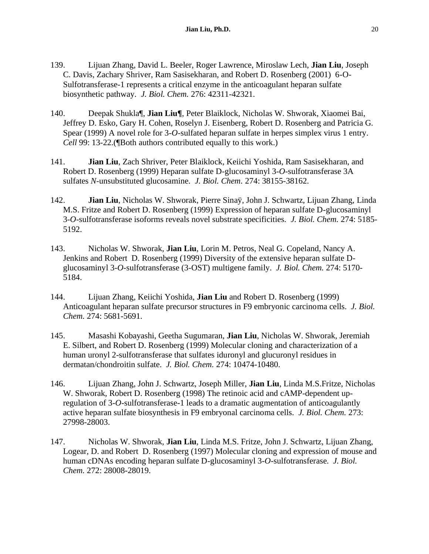- 139. Lijuan Zhang, David L. Beeler, Roger Lawrence, Miroslaw Lech, **Jian Liu**, Joseph C. Davis, Zachary Shriver, Ram Sasisekharan, and Robert D. Rosenberg (2001) 6-O-Sulfotransferase-1 represents a critical enzyme in the anticoagulant heparan sulfate biosynthetic pathway. *J. Biol. Chem.* 276: 42311-42321.
- 140. Deepak Shukla¶, **Jian Liu¶**, Peter Blaiklock, Nicholas W. Shworak, Xiaomei Bai, Jeffrey D. Esko, Gary H. Cohen, Roselyn J. Eisenberg, Robert D. Rosenberg and Patricia G. Spear (1999) A novel role for 3-*O*-sulfated heparan sulfate in herpes simplex virus 1 entry. *Cell* 99: 13-22.(¶Both authors contributed equally to this work.)
- 141. **Jian Liu**, Zach Shriver, Peter Blaiklock, Keiichi Yoshida, Ram Sasisekharan, and Robert D. Rosenberg (1999) Heparan sulfate D-glucosaminyl 3-*O*-sulfotransferase 3A sulfates *N*-unsubstituted glucosamine. *J. Biol. Chem.* 274: 38155-38162.
- 142. **Jian Liu**, Nicholas W. Shworak, Pierre Sinaÿ, John J. Schwartz, Lijuan Zhang, Linda M.S. Fritze and Robert D. Rosenberg (1999) Expression of heparan sulfate D-glucosaminyl 3-*O*-sulfotransferase isoforms reveals novel substrate specificities. *J. Biol. Chem.* 274: 5185- 5192.
- 143. Nicholas W. Shworak, **Jian Liu**, Lorin M. Petros, Neal G. Copeland, Nancy A. Jenkins and Robert D. Rosenberg (1999) Diversity of the extensive heparan sulfate Dglucosaminyl 3-*O*-sulfotransferase (3-OST) multigene family. *J. Biol. Chem.* 274: 5170- 5184.
- 144. Lijuan Zhang, Keiichi Yoshida, **Jian Liu** and Robert D. Rosenberg (1999) Anticoagulant heparan sulfate precursor structures in F9 embryonic carcinoma cells. *J. Biol. Chem.* 274: 5681-5691.
- 145. Masashi Kobayashi, Geetha Sugumaran, **Jian Liu**, Nicholas W. Shworak, Jeremiah E. Silbert, and Robert D. Rosenberg (1999) Molecular cloning and characterization of a human uronyl 2-sulfotransferase that sulfates iduronyl and glucuronyl residues in dermatan/chondroitin sulfate. *J. Biol. Chem.* 274: 10474-10480.
- 146. Lijuan Zhang, John J. Schwartz, Joseph Miller, **Jian Liu**, Linda M.S.Fritze, Nicholas W. Shworak, Robert D. Rosenberg (1998) The retinoic acid and cAMP-dependent upregulation of 3-*O*-sulfotransferase-1 leads to a dramatic augmentation of anticoagulantly active heparan sulfate biosynthesis in F9 embryonal carcinoma cells. *J. Biol. Chem.* 273: 27998-28003.
- 147. Nicholas W. Shworak, **Jian Liu**, Linda M.S. Fritze, John J. Schwartz, Lijuan Zhang, Logear, D. and Robert D. Rosenberg (1997) Molecular cloning and expression of mouse and human cDNAs encoding heparan sulfate D-glucosaminyl 3-*O*-sulfotransferase. *J. Biol. Chem.* 272: 28008-28019.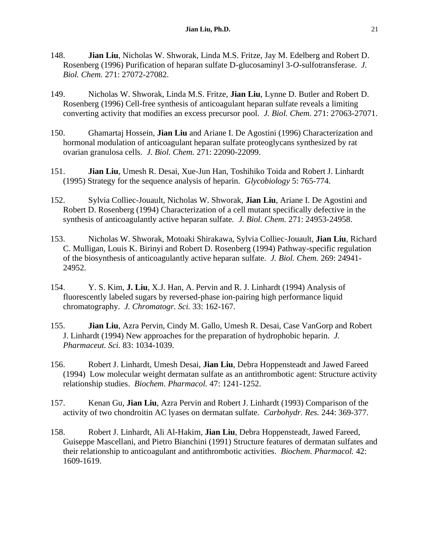- 148. **Jian Liu**, Nicholas W. Shworak, Linda M.S. Fritze, Jay M. Edelberg and Robert D. Rosenberg (1996) Purification of heparan sulfate D-glucosaminyl 3-*O*-sulfotransferase. *J. Biol. Chem.* 271: 27072-27082.
- 149. Nicholas W. Shworak, Linda M.S. Fritze, **Jian Liu**, Lynne D. Butler and Robert D. Rosenberg (1996) Cell-free synthesis of anticoagulant heparan sulfate reveals a limiting converting activity that modifies an excess precursor pool. *J. Biol. Chem.* 271: 27063-27071.
- 150. Ghamartaj Hossein, **Jian Liu** and Ariane I. De Agostini (1996) Characterization and hormonal modulation of anticoagulant heparan sulfate proteoglycans synthesized by rat ovarian granulosa cells. *J. Biol. Chem.* 271: 22090-22099.
- 151. **Jian Liu**, Umesh R. Desai, Xue-Jun Han, Toshihiko Toida and Robert J. Linhardt (1995) Strategy for the sequence analysis of heparin. *Glycobiology* 5: 765-774.
- 152. Sylvia Colliec-Jouault, Nicholas W. Shworak, **Jian Liu**, Ariane I. De Agostini and Robert D. Rosenberg (1994) Characterization of a cell mutant specifically defective in the synthesis of anticoagulantly active heparan sulfate. *J. Biol. Chem.* 271: 24953-24958.
- 153. Nicholas W. Shworak, Motoaki Shirakawa, Sylvia Colliec-Jouault, **Jian Liu**, Richard C. Mulligan, Louis K. Birinyi and Robert D. Rosenberg (1994) Pathway-specific regulation of the biosynthesis of anticoagulantly active heparan sulfate. *J. Biol. Chem.* 269: 24941- 24952.
- 154. Y. S. Kim, **J. Liu**, X.J. Han, A. Pervin and R. J. Linhardt (1994) Analysis of fluorescently labeled sugars by reversed-phase ion-pairing high performance liquid chromatography. *J. Chromatogr. Sci.* 33: 162-167.
- 155. **Jian Liu**, Azra Pervin, Cindy M. Gallo, Umesh R. Desai, Case VanGorp and Robert J. Linhardt (1994) New approaches for the preparation of hydrophobic heparin. *J. Pharmaceut. Sci.* 83: 1034-1039.
- 156. Robert J. Linhardt, Umesh Desai, **Jian Liu**, Debra Hoppensteadt and Jawed Fareed (1994) Low molecular weight dermatan sulfate as an antithrombotic agent: Structure activity relationship studies. *Biochem. Pharmacol.* 47: 1241-1252.
- 157. Kenan Gu, **Jian Liu**, Azra Pervin and Robert J. Linhardt (1993) Comparison of the activity of two chondroitin AC lyases on dermatan sulfate. *Carbohydr. Res.* 244: 369-377.
- 158. Robert J. Linhardt, Ali Al-Hakim, **Jian Liu**, Debra Hoppensteadt, Jawed Fareed, Guiseppe Mascellani, and Pietro Bianchini (1991) Structure features of dermatan sulfates and their relationship to anticoagulant and antithrombotic activities. *Biochem. Pharmacol.* 42: 1609-1619.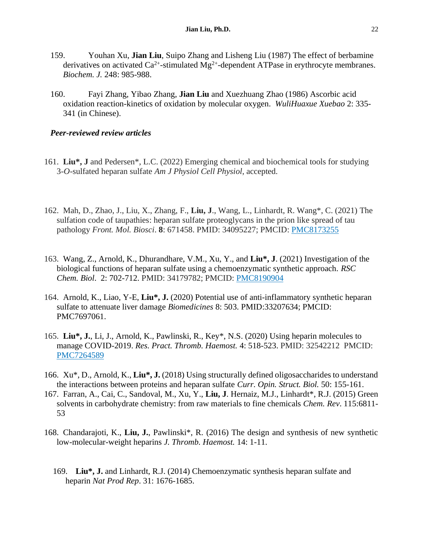- 159. Youhan Xu, **Jian Liu**, Suipo Zhang and Lisheng Liu (1987) The effect of berbamine derivatives on activated  $Ca^{2+}$ -stimulated Mg<sup>2+</sup>-dependent ATPase in erythrocyte membranes. *Biochem. J.* 248: 985-988.
- 160. Fayi Zhang, Yibao Zhang, **Jian Liu** and Xuezhuang Zhao (1986) Ascorbic acid oxidation reaction-kinetics of oxidation by molecular oxygen. *WuliHuaxue Xuebao* 2: 335- 341 (in Chinese).

#### *Peer-reviewed review articles*

- 161. **Liu\*, J** and Pedersen\*, L.C. (2022) Emerging chemical and biochemical tools for studying 3-*O*-sulfated heparan sulfate *Am J Physiol Cell Physiol*, accepted.
- 162. Mah, D., Zhao, J., Liu, X., Zhang, F., **Liu, J**., Wang, L., Linhardt, R. Wang\*, C. (2021) The sulfation code of taupathies: heparan sulfate proteoglycans in the prion like spread of tau pathology *Front. Mol. Biosci*. **8**: 671458. PMID: 34095227; PMCID: [PMC8173255](http://www.ncbi.nlm.nih.gov/pmc/articles/pmc8173255/)
- 163. Wang, Z., Arnold, K., Dhurandhare, V.M., Xu, Y., and **Liu\*, J**. (2021) Investigation of the biological functions of heparan sulfate using a chemoenzymatic synthetic approach. *RSC Chem. Biol*. 2: 702-712. PMID: 34179782; PMCID: [PMC8190904](http://www.ncbi.nlm.nih.gov/pmc/articles/pmc8190904/)
- 164. Arnold, K., Liao, Y-E, **Liu\*, J.** (2020) Potential use of anti-inflammatory synthetic heparan sulfate to attenuate liver damage *Biomedicines* 8: 503. PMID:33207634; PMCID: PMC7697061.
- 165. **Liu\*, J.**, Li, J., Arnold, K., Pawlinski, R., Key\*, N.S. (2020) Using heparin molecules to manage COVID-2019. *Res. Pract. Thromb. Haemost.* 4: 518-523. PMID: 32542212 PMCID: [PMC7264589](http://www.ncbi.nlm.nih.gov/pmc/articles/pmc7264589/)
- 166. Xu\*, D., Arnold, K., **Liu\*, J.** (2018) Using structurally defined oligosaccharides to understand the interactions between proteins and heparan sulfate *Curr. Opin. Struct. Biol.* 50: 155-161.
- 167. Farran, A., Cai, C., Sandoval, M., Xu, Y., **Liu, J**. Hernaiz, M.J., Linhardt\*, R.J. (2015) Green solvents in carbohydrate chemistry: from raw materials to fine chemicals *Chem. Rev*. 115:6811- 53
- 168. Chandarajoti, K., **Liu, J.**, Pawlinski\*, R. (2016) The design and synthesis of new synthetic low-molecular-weight heparins *J. Thromb. Haemost.* 14: 1-11.
	- 169. **Liu\*, J.** and Linhardt, R.J. (2014) Chemoenzymatic synthesis heparan sulfate and heparin *Nat Prod Rep*. 31: 1676-1685.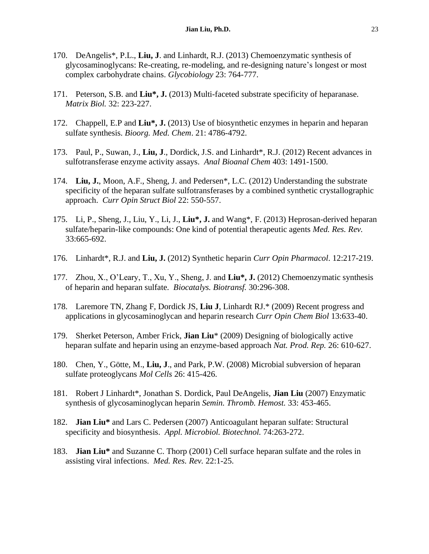- 170. DeAngelis\*, P.L., **Liu, J**. and Linhardt, R.J. (2013) Chemoenzymatic synthesis of glycosaminoglycans: Re-creating, re-modeling, and re-designing nature's longest or most complex carbohydrate chains. *Glycobiology* 23: 764-777.
- 171. Peterson, S.B. and **Liu\*, J.** (2013) Multi-faceted substrate specificity of heparanase. *Matrix Biol.* 32: 223-227.
- 172. Chappell, E.P and **Liu\*, J.** (2013) Use of biosynthetic enzymes in heparin and heparan sulfate synthesis. *Bioorg. Med. Chem*. 21: 4786-4792.
- 173. Paul, P., Suwan, J., **Liu, J**., Dordick, J.S. and Linhardt\*, R.J. (2012) Recent advances in sulfotransferase enzyme activity assays. *Anal Bioanal Chem* 403: 1491-1500.
- 174. **Liu, J.**, Moon, A.F., Sheng, J. and Pedersen\*, L.C. (2012) Understanding the substrate specificity of the heparan sulfate sulfotransferases by a combined synthetic crystallographic approach. *Curr Opin Struct Biol* 22: 550-557.
- 175. Li, P., Sheng, J., Liu, Y., Li, J., **Liu\*, J.** and Wang\*, F. (2013) Heprosan-derived heparan sulfate/heparin-like compounds: One kind of potential therapeutic agents *Med. Res. Rev.* 33:665-692.
- 176. Linhardt\*, R.J. and **Liu, J.** (2012) Synthetic heparin *Curr Opin Pharmacol*. 12:217-219.
- 177. Zhou, X., O'Leary, T., Xu, Y., Sheng, J. and **Liu\*, J.** (2012) Chemoenzymatic synthesis of heparin and heparan sulfate. *Biocatalys. Biotransf.* 30:296-308.
- 178. Laremore TN, Zhang F, Dordick JS, **Liu J**, Linhardt RJ.\* (2009) Recent progress and applications in glycosaminoglycan and heparin research *Curr Opin Chem Biol* 13:633-40.
- 179. Sherket Peterson, Amber Frick, **Jian Liu**\* (2009) Designing of biologically active heparan sulfate and heparin using an enzyme-based approach *Nat. Prod. Rep.* 26: 610-627.
- 180. Chen, Y., Götte, M., **Liu, J**., and Park, P.W. (2008) Microbial subversion of heparan sulfate proteoglycans *Mol Cells* 26: 415-426.
- 181. Robert J Linhardt\*, Jonathan S. Dordick, Paul DeAngelis, **Jian Liu** (2007) Enzymatic synthesis of glycosaminoglycan heparin *Semin. Thromb. Hemost.* 33: 453-465.
- 182. **Jian Liu\*** and Lars C. Pedersen (2007) Anticoagulant heparan sulfate: Structural specificity and biosynthesis. *Appl. Microbiol. Biotechnol.* 74:263-272.
- 183. **Jian Liu\*** and Suzanne C. Thorp (2001) Cell surface heparan sulfate and the roles in assisting viral infections. *Med. Res. Rev.* 22:1-25.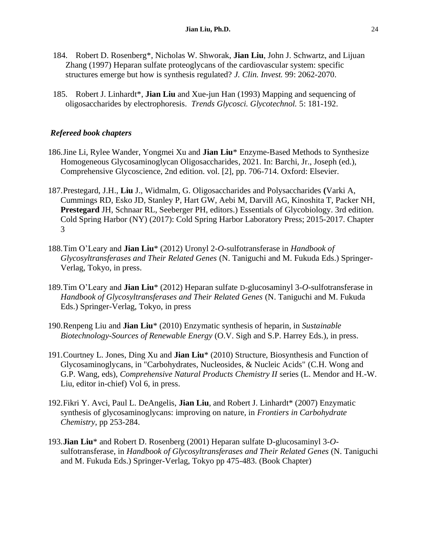- 184. Robert D. Rosenberg\*, Nicholas W. Shworak, **Jian Liu**, John J. Schwartz, and Lijuan Zhang (1997) Heparan sulfate proteoglycans of the cardiovascular system: specific structures emerge but how is synthesis regulated? *J. Clin. Invest.* 99: 2062-2070.
- 185. Robert J. Linhardt\*, **Jian Liu** and Xue-jun Han (1993) Mapping and sequencing of oligosaccharides by electrophoresis. *Trends Glycosci. Glycotechnol.* 5: 181-192.

#### *Refereed book chapters*

- 186.Jine Li, Rylee Wander, Yongmei Xu and **Jian Liu**\* Enzyme-Based Methods to Synthesize Homogeneous Glycosaminoglycan Oligosaccharides, 2021. In: Barchi, Jr., Joseph (ed.), Comprehensive Glycoscience, 2nd edition. vol. [2], pp. 706-714. Oxford: Elsevier.
- 187.Prestegard, J.H., **Liu** J., Widmalm, G. Oligosaccharides and Polysaccharides **(**Varki A, Cummings RD, Esko JD, Stanley P, Hart GW, Aebi M, Darvill AG, Kinoshita T, Packer NH, **Prestegard** JH, Schnaar RL, Seeberger PH, editors.) Essentials of Glycobiology. 3rd edition. Cold Spring Harbor (NY) (2017): Cold Spring Harbor Laboratory Press; 2015-2017. Chapter 3
- 188.Tim O'Leary and **Jian Liu**\* (2012) Uronyl 2-*O*-sulfotransferase in *Handbook of Glycosyltransferases and Their Related Genes* (N. Taniguchi and M. Fukuda Eds.) Springer-Verlag, Tokyo, in press.
- 189.Tim O'Leary and **Jian Liu**\* (2012) Heparan sulfate D-glucosaminyl 3-*O*-sulfotransferase in *Handbook of Glycosyltransferases and Their Related Genes* (N. Taniguchi and M. Fukuda Eds.) Springer-Verlag, Tokyo, in press
- 190.Renpeng Liu and **Jian Liu**\* (2010) Enzymatic synthesis of heparin, in *Sustainable Biotechnology-Sources of Renewable Energy* (O.V. Sigh and S.P. Harrey Eds.), in press.
- 191.Courtney L. Jones, Ding Xu and **Jian Liu**\* (2010) Structure, Biosynthesis and Function of Glycosaminoglycans, in "Carbohydrates, Nucleosides, & Nucleic Acids" (C.H. Wong and G.P. Wang, eds), *Comprehensive Natural Products Chemistry II* series (L. Mendor and H.-W. Liu, editor in-chief) Vol 6, in press.
- 192.Fikri Y. Avci, Paul L. DeAngelis, **Jian Liu**, and Robert J. Linhardt\* (2007) Enzymatic synthesis of glycosaminoglycans: improving on nature, in *Frontiers in Carbohydrate Chemistry*, pp 253-284.
- 193.**Jian Liu**\* and Robert D. Rosenberg (2001) Heparan sulfate D-glucosaminyl 3-*O*sulfotransferase, in *Handbook of Glycosyltransferases and Their Related Genes* (N. Taniguchi and M. Fukuda Eds.) Springer-Verlag, Tokyo pp 475-483. (Book Chapter)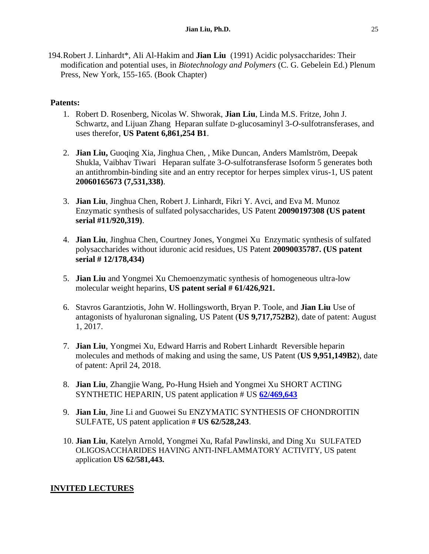194.Robert J. Linhardt\*, Ali Al-Hakim and **Jian Liu** (1991) Acidic polysaccharides: Their modification and potential uses, in *Biotechnology and Polymers* (C. G. Gebelein Ed.) Plenum Press, New York, 155-165. (Book Chapter)

### **Patents:**

- 1. Robert D. Rosenberg, Nicolas W. Shworak, **Jian Liu**, Linda M.S. Fritze, John J. Schwartz, and Lijuan Zhang Heparan sulfate D-glucosaminyl 3-*O*-sulfotransferases, and uses therefor, **US Patent 6,861,254 B1**.
- 2. **Jian Liu,** Guoqing Xia, Jinghua Chen, , Mike Duncan, Anders Mamlström, Deepak Shukla, Vaibhav Tiwari Heparan sulfate 3-*O*-sulfotransferase Isoform 5 generates both an antithrombin-binding site and an entry receptor for herpes simplex virus-1, US patent **20060165673 (7,531,338)**.
- 3. **Jian Liu**, Jinghua Chen, Robert J. Linhardt, Fikri Y. Avci, and Eva M. Munoz Enzymatic synthesis of sulfated polysaccharides, US Patent **20090197308 (US patent serial #11/920,319)**.
- 4. **Jian Liu**, Jinghua Chen, Courtney Jones, Yongmei Xu Enzymatic synthesis of sulfated polysaccharides without iduronic acid residues, US Patent **20090035787. (US patent serial # 12/178,434)**
- 5. **Jian Liu** and Yongmei Xu Chemoenzymatic synthesis of homogeneous ultra-low molecular weight heparins, **US patent serial # 61/426,921.**
- 6. Stavros Garantziotis, John W. Hollingsworth, Bryan P. Toole, and **Jian Liu** Use of antagonists of hyaluronan signaling, US Patent (**US 9,717,752B2**), date of patent: August 1, 2017.
- 7. **Jian Liu**, Yongmei Xu, Edward Harris and Robert Linhardt Reversible heparin molecules and methods of making and using the same, US Patent (**US 9,951,149B2**), date of patent: April 24, 2018.
- 8. **Jian Liu**, Zhangjie Wang, Po-Hung Hsieh and Yongmei Xu SHORT ACTING SYNTHETIC HEPARIN, US patent application # US **[62/469,643](https://apps2.research.unc.edu/blue/index.cfm?event=technology.technology.techDetail§ion=Related%20IP&tech_id=3530&edit=patent&patent_tech_id=8505)**
- 9. **Jian Liu**, Jine Li and Guowei Su ENZYMATIC SYNTHESIS OF CHONDROITIN SULFATE, US patent application # **US 62/528,243**.
- 10. **Jian Liu**, Katelyn Arnold, Yongmei Xu, Rafal Pawlinski, and Ding Xu SULFATED OLIGOSACCHARIDES HAVING ANTI-INFLAMMATORY ACTIVITY, US patent application **US 62/581,443.**

## **INVITED LECTURES**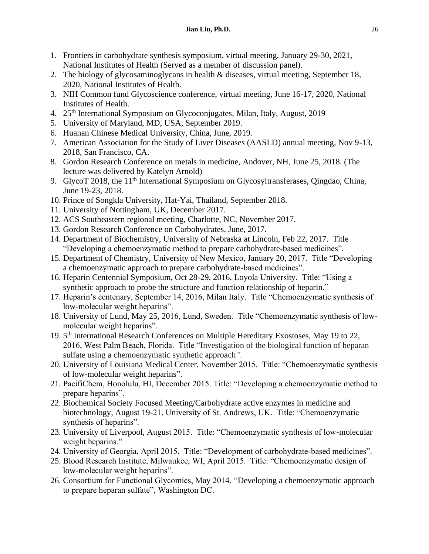- 1. Frontiers in carbohydrate synthesis symposium, virtual meeting, January 29-30, 2021, National Institutes of Health (Served as a member of discussion panel).
- 2. The biology of glycosaminoglycans in health & diseases, virtual meeting, September 18, 2020, National Institutes of Health.
- 3. NIH Common fund Glycoscience conference, virtual meeting, June 16-17, 2020, National Institutes of Health.
- 4. 25th International Symposium on Glycoconjugates, Milan, Italy, August, 2019
- 5. University of Maryland, MD, USA, September 2019.
- 6. Huanan Chinese Medical University, China, June, 2019.
- 7. American Association for the Study of Liver Diseases (AASLD) annual meeting, Nov 9-13, 2018, San Francisco, CA.
- 8. Gordon Research Conference on metals in medicine, Andover, NH, June 25, 2018. (The lecture was delivered by Katelyn Arnold)
- 9. GlycoT 2018, the 11<sup>th</sup> International Symposium on Glycosyltransferases, Oingdao, China, June 19-23, 2018.
- 10. Prince of Songkla University, Hat-Yai, Thailand, September 2018.
- 11. University of Nottingham, UK, December 2017.
- 12. ACS Southeastern regional meeting, Charlotte, NC, November 2017.
- 13. Gordon Research Conference on Carbohydrates, June, 2017.
- 14. Department of Biochemistry, University of Nebraska at Lincoln, Feb 22, 2017. Title "Developing a chemoenzymatic method to prepare carbohydrate-based medicines".
- 15. Department of Chemistry, University of New Mexico, January 20, 2017. Title "Developing a chemoenzymatic approach to prepare carbohydrate-based medicines".
- 16. Heparin Centennial Symposium, Oct 28-29, 2016, Loyola University. Title: "Using a synthetic approach to probe the structure and function relationship of heparin."
- 17. Heparin's centenary, September 14, 2016, Milan Italy. Title "Chemoenzymatic synthesis of low-molecular weight heparins".
- 18. University of Lund, May 25, 2016, Lund, Sweden. Title "Chemoenzymatic synthesis of lowmolecular weight heparins".
- 19. 5<sup>th</sup> International Research Conferences on Multiple Hereditary Exostoses, May 19 to 22, 2016, West Palm Beach, Florida. Title "Investigation of the biological function of heparan sulfate using a chemoenzymatic synthetic approach*".*
- 20. University of Louisiana Medical Center, November 2015. Title: "Chemoenzymatic synthesis of low-molecular weight heparins".
- 21. PacifiChem, Honolulu, HI, December 2015. Title: "Developing a chemoenzymatic method to prepare heparins".
- 22. Biochemical Society Focused Meeting/Carbohydrate active enzymes in medicine and biotechnology, August 19-21, University of St. Andrews, UK. Title: "Chemoenzymatic synthesis of heparins".
- 23. University of Liverpool, August 2015. Title: "Chemoenzymatic synthesis of low-molecular weight heparins."
- 24. University of Georgia, April 2015. Title: "Development of carbohydrate-based medicines".
- 25. Blood Research Institute, Milwaukee, WI, April 2015. Title: "Chemoenzymatic design of low-molecular weight heparins".
- 26. Consortium for Functional Glycomics, May 2014. "Developing a chemoenzymatic approach to prepare heparan sulfate", Washington DC.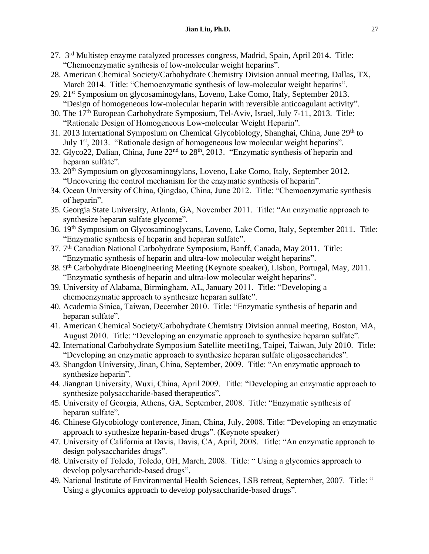- 27. 3<sup>rd</sup> Multistep enzyme catalyzed processes congress, Madrid, Spain, April 2014. Title: "Chemoenzymatic synthesis of low-molecular weight heparins".
- 28. American Chemical Society/Carbohydrate Chemistry Division annual meeting, Dallas, TX, March 2014. Title: "Chemoenzymatic synthesis of low-molecular weight heparins".
- 29. 21st Symposium on glycosaminogylans, Loveno, Lake Como, Italy, September 2013. "Design of homogeneous low-molecular heparin with reversible anticoagulant activity".
- 30. The 17th European Carbohydrate Symposium, Tel-Aviv, Israel, July 7-11, 2013. Title: "Rationale Design of Homogeneous Low-molecular Weight Heparin".
- 31. 2013 International Symposium on Chemical Glycobiology, Shanghai, China, June 29<sup>th</sup> to July 1<sup>st</sup>, 2013. "Rationale design of homogeneous low molecular weight heparins".
- 32. Glyco22, Dalian, China, June 22<sup>nd</sup> to 28<sup>th</sup>, 2013. "Enzymatic synthesis of heparin and heparan sulfate".
- 33. 20th Symposium on glycosaminogylans, Loveno, Lake Como, Italy, September 2012. "Uncovering the control mechanism for the enzymatic synthesis of heparin".
- 34. Ocean University of China, Qingdao, China, June 2012. Title: "Chemoenzymatic synthesis of heparin".
- 35. Georgia State University, Atlanta, GA, November 2011. Title: "An enzymatic approach to synthesize heparan sulfate glycome".
- 36. 19<sup>th</sup> Symposium on Glycosaminoglycans, Loveno, Lake Como, Italy, September 2011. Title: "Enzymatic synthesis of heparin and heparan sulfate".
- 37. 7<sup>th</sup> Canadian National Carbohydrate Symposium, Banff, Canada, May 2011. Title: "Enzymatic synthesis of heparin and ultra-low molecular weight heparins".
- 38. 9<sup>th</sup> Carbohydrate Bioengineering Meeting (Keynote speaker), Lisbon, Portugal, May, 2011. "Enzymatic synthesis of heparin and ultra-low molecular weight heparins".
- 39. University of Alabama, Birmingham, AL, January 2011. Title: "Developing a chemoenzymatic approach to synthesize heparan sulfate".
- 40. Academia Sinica, Taiwan, December 2010. Title: "Enzymatic synthesis of heparin and heparan sulfate".
- 41. American Chemical Society/Carbohydrate Chemistry Division annual meeting, Boston, MA, August 2010. Title: "Developing an enzymatic approach to synthesize heparan sulfate".
- 42. International Carbohydrate Symposium Satellite meeti1ng, Taipei, Taiwan, July 2010. Title: "Developing an enzymatic approach to synthesize heparan sulfate oligosaccharides".
- 43. Shangdon University, Jinan, China, September, 2009. Title: "An enzymatic approach to synthesize heparin".
- 44. Jiangnan University, Wuxi, China, April 2009. Title: "Developing an enzymatic approach to synthesize polysaccharide-based therapeutics".
- 45. University of Georgia, Athens, GA, September, 2008. Title: "Enzymatic synthesis of heparan sulfate".
- 46. Chinese Glycobiology conference, Jinan, China, July, 2008. Title: "Developing an enzymatic approach to synthesize heparin-based drugs". (Keynote speaker)
- 47. University of California at Davis, Davis, CA, April, 2008. Title: "An enzymatic approach to design polysaccharides drugs".
- 48. University of Toledo, Toledo, OH, March, 2008. Title: " Using a glycomics approach to develop polysaccharide-based drugs".
- 49. National Institute of Environmental Health Sciences, LSB retreat, September, 2007. Title: " Using a glycomics approach to develop polysaccharide-based drugs".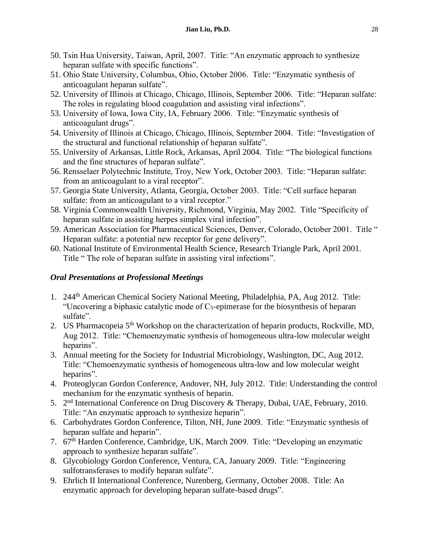- 50. Tsin Hua University, Taiwan, April, 2007. Title: "An enzymatic approach to synthesize heparan sulfate with specific functions".
- 51. Ohio State University, Columbus, Ohio, October 2006. Title: "Enzymatic synthesis of anticoagulant heparan sulfate".
- 52. University of Illinois at Chicago, Chicago, Illinois, September 2006. Title: "Heparan sulfate: The roles in regulating blood coagulation and assisting viral infections".
- 53. University of Iowa, Iowa City, IA, February 2006. Title: "Enzymatic synthesis of anticoagulant drugs".
- 54. University of Illinois at Chicago, Chicago, Illinois, September 2004. Title: "Investigation of the structural and functional relationship of heparan sulfate".
- 55. University of Arkansas, Little Rock, Arkansas, April 2004. Title: "The biological functions and the fine structures of heparan sulfate".
- 56. Rensselaer Polytechnic Institute, Troy, New York, October 2003. Title: "Heparan sulfate: from an anticoagulant to a viral receptor".
- 57. Georgia State University, Atlanta, Georgia, October 2003. Title: "Cell surface heparan sulfate: from an anticoagulant to a viral receptor."
- 58. Virginia Commonwealth University, Richmond, Virginia, May 2002. Title "Specificity of heparan sulfate in assisting herpes simplex viral infection".
- 59. American Association for Pharmaceutical Sciences, Denver, Colorado, October 2001. Title " Heparan sulfate: a potential new receptor for gene delivery".
- 60. National Institute of Environmental Health Science, Research Triangle Park, April 2001. Title " The role of heparan sulfate in assisting viral infections".

# *Oral Presentations at Professional Meetings*

- 1. 244th American Chemical Society National Meeting, Philadelphia, PA, Aug 2012. Title: "Uncovering a biphasic catalytic mode of C5-epimerase for the biosynthesis of heparan sulfate".
- 2. US Pharmacopeia 5<sup>th</sup> Workshop on the characterization of heparin products, Rockville, MD, Aug 2012. Title: "Chemoenzymatic synthesis of homogeneous ultra-low molecular weight heparins".
- 3. Annual meeting for the Society for Industrial Microbiology, Washington, DC, Aug 2012. Title: "Chemoenzymatic synthesis of homogeneous ultra-low and low molecular weight heparins".
- 4. Proteoglycan Gordon Conference, Andover, NH, July 2012. Title: Understanding the control mechanism for the enzymatic synthesis of heparin.
- 5. 2<sup>nd</sup> International Conference on Drug Discovery & Therapy, Dubai, UAE, February, 2010. Title: "An enzymatic approach to synthesize heparin".
- 6. Carbohydrates Gordon Conference, Tilton, NH, June 2009. Title: "Enzymatic synthesis of heparan sulfate and heparin".
- 7. 67th Harden Conference, Cambridge, UK, March 2009. Title: "Developing an enzymatic approach to synthesize heparan sulfate".
- 8. Glycobiology Gordon Conference, Ventura, CA, January 2009. Title: "Engineering sulfotransferases to modify heparan sulfate".
- 9. Ehrlich II International Conference, Nurenberg, Germany, October 2008. Title: An enzymatic approach for developing heparan sulfate-based drugs".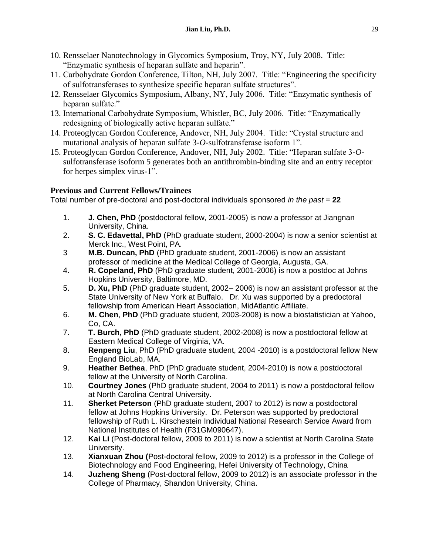- 10. Rensselaer Nanotechnology in Glycomics Symposium, Troy, NY, July 2008. Title: "Enzymatic synthesis of heparan sulfate and heparin".
- 11. Carbohydrate Gordon Conference, Tilton, NH, July 2007. Title: "Engineering the specificity of sulfotransferases to synthesize specific heparan sulfate structures".
- 12. Rensselaer Glycomics Symposium, Albany, NY, July 2006. Title: "Enzymatic synthesis of heparan sulfate."
- 13. International Carbohydrate Symposium, Whistler, BC, July 2006. Title: "Enzymatically redesigning of biologically active heparan sulfate."
- 14. Proteoglycan Gordon Conference, Andover, NH, July 2004. Title: "Crystal structure and mutational analysis of heparan sulfate 3-*O*-sulfotransferase isoform 1".
- 15. Proteoglycan Gordon Conference, Andover, NH, July 2002. Title: "Heparan sulfate 3-*O*sulfotransferase isoform 5 generates both an antithrombin-binding site and an entry receptor for herpes simplex virus-1".

# **Previous and Current Fellows/Trainees**

Total number of pre-doctoral and post-doctoral individuals sponsored *in the past* = **22**

- 1. **J. Chen, PhD** (postdoctoral fellow, 2001-2005) is now a professor at Jiangnan University, China.
- 2. **S. C. Edavettal, PhD** (PhD graduate student, 2000-2004) is now a senior scientist at Merck Inc., West Point, PA.
- 3 **M.B. Duncan, PhD** (PhD graduate student, 2001-2006) is now an assistant professor of medicine at the Medical College of Georgia, Augusta, GA.
- 4. **R. Copeland, PhD** (PhD graduate student, 2001-2006) is now a postdoc at Johns Hopkins University, Baltimore, MD.
- 5. **D. Xu, PhD** (PhD graduate student, 2002– 2006) is now an assistant professor at the State University of New York at Buffalo. Dr. Xu was supported by a predoctoral fellowship from American Heart Association, MidAtlantic Affiliate.
- 6. **M. Chen**, **PhD** (PhD graduate student, 2003-2008) is now a biostatistician at Yahoo, Co, CA.
- 7. **T. Burch, PhD** (PhD graduate student, 2002-2008) is now a postdoctoral fellow at Eastern Medical College of Virginia, VA.
- 8. **Renpeng Liu**, PhD (PhD graduate student, 2004 -2010) is a postdoctoral fellow New England BioLab, MA.
- 9. **Heather Bethea**, PhD (PhD graduate student, 2004-2010) is now a postdoctoral fellow at the University of North Carolina.
- 10. **Courtney Jones** (PhD graduate student, 2004 to 2011) is now a postdoctoral fellow at North Carolina Central University.
- 11. **Sherket Peterson** (PhD graduate student, 2007 to 2012) is now a postdoctoral fellow at Johns Hopkins University.Dr. Peterson was supported by predoctoral fellowship of Ruth L. Kirschestein Individual National Research Service Award from National Institutes of Health (F31GM090647).
- 12. **Kai Li** (Post-doctoral fellow, 2009 to 2011) is now a scientist at North Carolina State University.
- 13. **Xianxuan Zhou (**Post-doctoral fellow, 2009 to 2012) is a professor in the College of Biotechnology and Food Engineering, Hefei University of Technology, China
- 14. **Juzheng Sheng** (Post-doctoral fellow, 2009 to 2012) is an associate professor in the College of Pharmacy, Shandon University, China.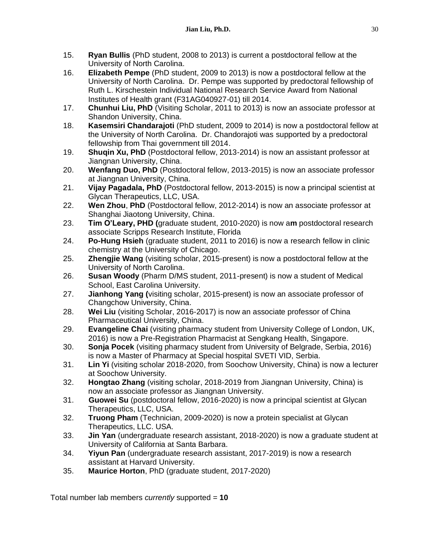- 15. **Ryan Bullis** (PhD student, 2008 to 2013) is current a postdoctoral fellow at the University of North Carolina.
- 16. **Elizabeth Pempe** (PhD student, 2009 to 2013) is now a postdoctoral fellow at the University of North Carolina. Dr. Pempe was supported by predoctoral fellowship of Ruth L. Kirschestein Individual National Research Service Award from National Institutes of Health grant (F31AG040927-01) till 2014.
- 17. **Chunhui Liu, PhD** (Visiting Scholar, 2011 to 2013) is now an associate professor at Shandon University, China.
- 18. **Kasemsiri Chandarajoti** (PhD student, 2009 to 2014) is now a postdoctoral fellow at the University of North Carolina. Dr. Chandorajoti was supported by a predoctoral fellowship from Thai government till 2014.
- 19. **Shuqin Xu, PhD** (Postdoctoral fellow, 2013-2014) is now an assistant professor at Jiangnan University, China.
- 20. **Wenfang Duo, PhD** (Postdoctoral fellow, 2013-2015) is now an associate professor at Jiangnan University, China.
- 21. **Vijay Pagadala, PhD** (Postdoctoral fellow, 2013-2015) is now a principal scientist at Glycan Therapeutics, LLC, USA.
- 22. **Wen Zhou**, **PhD** (Postdoctoral fellow, 2012-2014) is now an associate professor at Shanghai Jiaotong University, China.
- 23. **Tim O'Leary, PHD (**graduate student, 2010-2020) is now a**m** postdoctoral research associate Scripps Research Institute, Florida
- 24. **Po-Hung Hsieh** (graduate student, 2011 to 2016) is now a research fellow in clinic chemistry at the University of Chicago.
- 25. **Zhengjie Wang** (visiting scholar, 2015-present) is now a postdoctoral fellow at the University of North Carolina.
- 26. **Susan Woody** (Pharm D/MS student, 2011-present) is now a student of Medical School, East Carolina University.
- 27. **Jianhong Yang (**visiting scholar, 2015-present) is now an associate professor of Changchow University, China.
- 28. **Wei Liu** (visiting Scholar, 2016-2017) is now an associate professor of China Pharmaceutical University, China.
- 29. **Evangeline Chai** (visiting pharmacy student from University College of London, UK, 2016) is now a Pre-Registration Pharmacist at Sengkang Health, Singapore.
- 30. **Sonja Pocek** (visiting pharmacy student from University of Belgrade, Serbia, 2016) is now a Master of Pharmacy at Special hospital SVETI VID, Serbia.
- 31. **Lin Yi** (visiting scholar 2018-2020, from Soochow University, China) is now a lecturer at Soochow University.
- 32. **Hongtao Zhang** (visiting scholar, 2018-2019 from Jiangnan University, China) is now an associate professor as Jiangnan University.
- 31. **Guowei Su** (postdoctoral fellow, 2016-2020) is now a principal scientist at Glycan Therapeutics, LLC, USA.
- 32. **Truong Pham** (Technician, 2009-2020) is now a protein specialist at Glycan Therapeutics, LLC. USA.
- 33. **Jin Yan** (undergraduate research assistant, 2018-2020) is now a graduate student at University of California at Santa Barbara.
- 34. **Yiyun Pan** (undergraduate research assistant, 2017-2019) is now a research assistant at Harvard University.
- 35. **Maurice Horton**, PhD (graduate student, 2017-2020)

Total number lab members *currently* supported = **10**